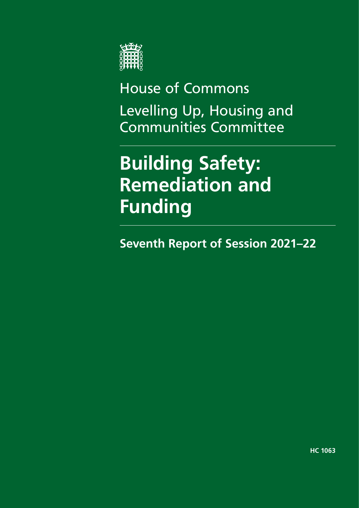

House of Commons Levelling Up, Housing and Communities Committee

**Building Safety: Remediation and Funding**

**Seventh Report of Session 2021–22**

**HC 1063**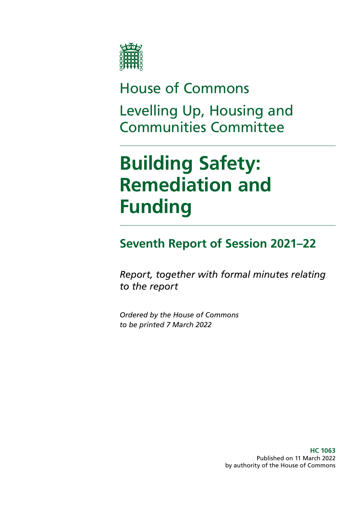

# House of Commons Levelling Up, Housing and Communities Committee

# **Building Safety: Remediation and Funding**

### **Seventh Report of Session 2021–22**

*Report, together with formal minutes relating to the report*

*Ordered by the House of Commons to be printed 7 March 2022*

> **HC 1063** Published on 11 March 2022 by authority of the House of Commons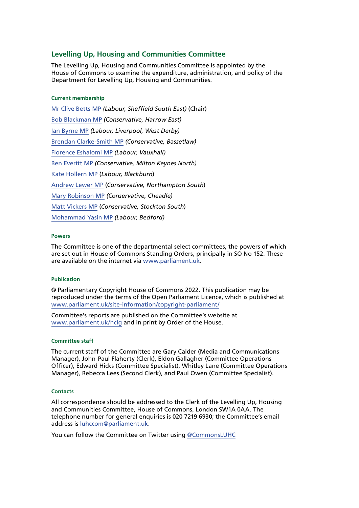#### **Levelling Up, Housing and Communities Committee**

The Levelling Up, Housing and Communities Committee is appointed by the House of Commons to examine the expenditure, administration, and policy of the Department for Levelling Up, Housing and Communities.

#### **Current membership**

[Mr Clive Betts MP](https://www.parliament.uk/biographies/commons/mr-clive-betts/394) *(Labour, Sheffield South East)* (Chair) [Bob Blackman MP](https://www.parliament.uk/biographies/commons/bob-blackman/4005) *(Conservative, Harrow East)* [Ian Byrne MP](https://members.parliament.uk/member/4831/contact) *(Labour, Liverpool, West Derby)* [Brendan Clarke-Smith MP](https://members.parliament.uk/member/4756/contact) *(Conservative, Bassetlaw)* [Florence Eshalomi MP](https://members.parliament.uk/member/4870/contact) *(Labour, Vauxhall)* [Ben Everitt MP](https://members.parliament.uk/member/4836/contact) *(Conservative, Milton Keynes North)* [Kate Hollern MP](https://members.parliament.uk/member/4363/contact) (*Labour, Blackburn*) [Andrew Lewer MP](https://members.parliament.uk/member/4659/contact) (*Conservative, Northampton South*) [Mary Robinson MP](https://www.parliament.uk/biographies/commons/mary-robinson/4406) *(Conservative, Cheadle)* [Matt Vickers MP](https://members.parliament.uk/member/4844/contact) (*Conservative, Stockton South*) [Mohammad Yasin MP](https://members.parliament.uk/member/4598/contact) *(Labour, Bedford)*

#### **Powers**

The Committee is one of the departmental select committees, the powers of which are set out in House of Commons Standing Orders, principally in SO No 152. These are available on the internet via [www.parliament.uk.](http://www.parliament.uk)

#### **Publication**

© Parliamentary Copyright House of Commons 2022. This publication may be reproduced under the terms of the Open Parliament Licence, which is published at <www.parliament.uk/site-information/copyright-parliament/>

Committee's reports are published on the Committee's website at [www.parliament.uk/hclg](https://committees.parliament.uk/committee/17/housing-communities-and-local-government-committee/) and in print by Order of the House.

#### **Committee staff**

The current staff of the Committee are Gary Calder (Media and Communications Manager), John-Paul Flaherty (Clerk), Eldon Gallagher (Committee Operations Officer), Edward Hicks (Committee Specialist), Whitley Lane (Committee Operations Manager), Rebecca Lees (Second Clerk), and Paul Owen (Committee Specialist).

#### **Contacts**

All correspondence should be addressed to the Clerk of the Levelling Up, Housing and Communities Committee, House of Commons, London SW1A 0AA. The telephone number for general enquiries is 020 7219 6930; the Committee's email address is [luhccom@parliament.uk.](mailto:luhccom@parliament.uk)

You can follow the Committee on Twitter using [@CommonsLUHC](https://twitter.com/CommonsLUHC)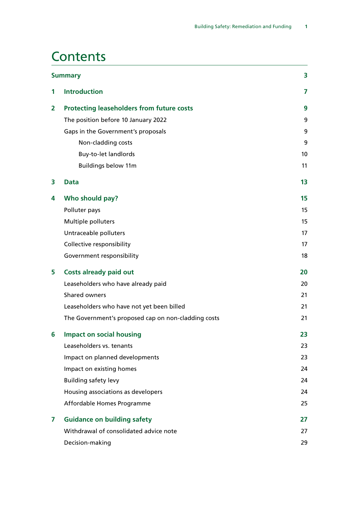### **Contents**

|   | <b>Summary</b>                                      | 3  |
|---|-----------------------------------------------------|----|
| 1 | <b>Introduction</b>                                 | 7  |
| 2 | <b>Protecting leaseholders from future costs</b>    | 9  |
|   | The position before 10 January 2022                 | 9  |
|   | Gaps in the Government's proposals                  | 9  |
|   | Non-cladding costs                                  | 9  |
|   | <b>Buy-to-let landlords</b>                         | 10 |
|   | <b>Buildings below 11m</b>                          | 11 |
| 3 | <b>Data</b>                                         | 13 |
| 4 | Who should pay?                                     | 15 |
|   | Polluter pays                                       | 15 |
|   | Multiple polluters                                  | 15 |
|   | Untraceable polluters                               | 17 |
|   | Collective responsibility                           | 17 |
|   | Government responsibility                           | 18 |
| 5 | <b>Costs already paid out</b>                       | 20 |
|   | Leaseholders who have already paid                  | 20 |
|   | Shared owners                                       | 21 |
|   | Leaseholders who have not yet been billed           | 21 |
|   | The Government's proposed cap on non-cladding costs | 21 |
| 6 | <b>Impact on social housing</b>                     | 23 |
|   | Leaseholders vs. tenants                            | 23 |
|   | Impact on planned developments                      | 23 |
|   | Impact on existing homes                            | 24 |
|   | <b>Building safety levy</b>                         | 24 |
|   | Housing associations as developers                  | 24 |
|   | Affordable Homes Programme                          | 25 |
| 7 | <b>Guidance on building safety</b>                  | 27 |
|   | Withdrawal of consolidated advice note              | 27 |
|   | Decision-making                                     | 29 |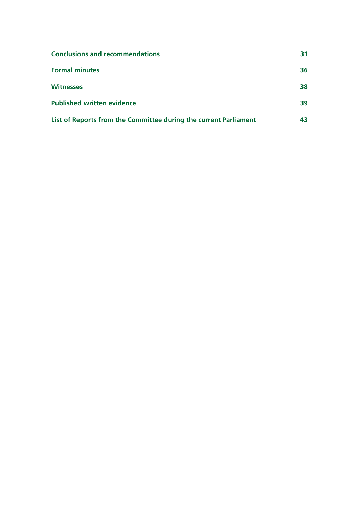| <b>Conclusions and recommendations</b>                           |    |
|------------------------------------------------------------------|----|
| <b>Formal minutes</b>                                            | 36 |
| <b>Witnesses</b>                                                 | 38 |
| <b>Published written evidence</b>                                | 39 |
| List of Reports from the Committee during the current Parliament | 43 |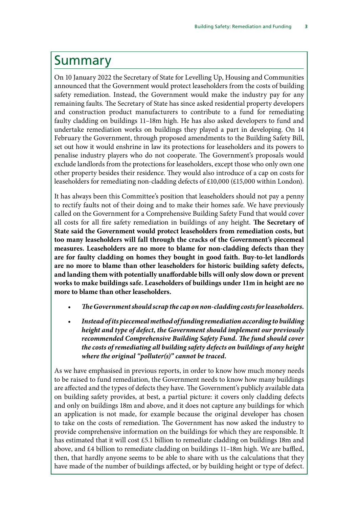### <span id="page-6-0"></span>Summary

On 10 January 2022 the Secretary of State for Levelling Up, Housing and Communities announced that the Government would protect leaseholders from the costs of building safety remediation. Instead, the Government would make the industry pay for any remaining faults. The Secretary of State has since asked residential property developers and construction product manufacturers to contribute to a fund for remediating faulty cladding on buildings 11–18m high. He has also asked developers to fund and undertake remediation works on buildings they played a part in developing. On 14 February the Government, through proposed amendments to the Building Safety Bill, set out how it would enshrine in law its protections for leaseholders and its powers to penalise industry players who do not cooperate. The Government's proposals would exclude landlords from the protections for leaseholders, except those who only own one other property besides their residence. They would also introduce of a cap on costs for leaseholders for remediating non-cladding defects of £10,000 (£15,000 within London).

It has always been this Committee's position that leaseholders should not pay a penny to rectify faults not of their doing and to make their homes safe. We have previously called on the Government for a Comprehensive Building Safety Fund that would cover all costs for all fire safety remediation in buildings of any height. **The Secretary of State said the Government would protect leaseholders from remediation costs, but too many leaseholders will fall through the cracks of the Government's piecemeal measures. Leaseholders are no more to blame for non-cladding defects than they are for faulty cladding on homes they bought in good faith. Buy-to-let landlords are no more to blame than other leaseholders for historic building safety defects, and landing them with potentially unaffordable bills will only slow down or prevent works to make buildings safe. Leaseholders of buildings under 11m in height are no more to blame than other leaseholders.**

- *The Government should scrap the cap on non-cladding costs for leaseholders.*
- *Instead of its piecemeal method of funding remediation according to building height and type of defect, the Government should implement our previously recommended Comprehensive Building Safety Fund. The fund should cover the costs of remediating all building safety defects on buildings of any height where the original "polluter(s)" cannot be traced.*

As we have emphasised in previous reports, in order to know how much money needs to be raised to fund remediation, the Government needs to know how many buildings are affected and the types of defects they have. The Government's publicly available data on building safety provides, at best, a partial picture: it covers only cladding defects and only on buildings 18m and above, and it does not capture any buildings for which an application is not made, for example because the original developer has chosen to take on the costs of remediation. The Government has now asked the industry to provide comprehensive information on the buildings for which they are responsible. It has estimated that it will cost £5.1 billion to remediate cladding on buildings 18m and above, and £4 billion to remediate cladding on buildings 11–18m high. We are baffled, then, that hardly anyone seems to be able to share with us the calculations that they have made of the number of buildings affected, or by building height or type of defect.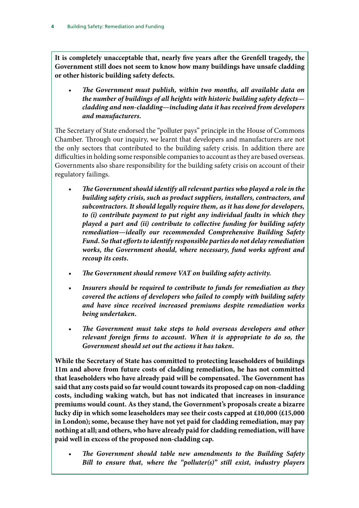**It is completely unacceptable that, nearly five years after the Grenfell tragedy, the Government still does not seem to know how many buildings have unsafe cladding or other historic building safety defects.**

• *The Government must publish, within two months, all available data on the number of buildings of all heights with historic building safety defects cladding and non-cladding—including data it has received from developers and manufacturers.*

The Secretary of State endorsed the "polluter pays" principle in the House of Commons Chamber. Through our inquiry, we learnt that developers and manufacturers are not the only sectors that contributed to the building safety crisis. In addition there are difficulties in holding some responsible companies to account as they are based overseas. Governments also share responsibility for the building safety crisis on account of their regulatory failings.

- *The Government should identify all relevant parties who played a role in the building safety crisis, such as product suppliers, installers, contractors, and subcontractors. It should legally require them, as it has done for developers, to (i) contribute payment to put right any individual faults in which they played a part and (ii) contribute to collective funding for building safety remediation—ideally our recommended Comprehensive Building Safety Fund. So that efforts to identify responsible parties do not delay remediation works, the Government should, where necessary, fund works upfront and recoup its costs.*
- *The Government should remove VAT on building safety activity.*
- *Insurers should be required to contribute to funds for remediation as they covered the actions of developers who failed to comply with building safety and have since received increased premiums despite remediation works being undertaken.*
- *The Government must take steps to hold overseas developers and other relevant foreign firms to account. When it is appropriate to do so, the Government should set out the actions it has taken.*

**While the Secretary of State has committed to protecting leaseholders of buildings 11m and above from future costs of cladding remediation, he has not committed that leaseholders who have already paid will be compensated. The Government has said that any costs paid so far would count towards its proposed cap on non-cladding costs, including waking watch, but has not indicated that increases in insurance premiums would count. As they stand, the Government's proposals create a bizarre lucky dip in which some leaseholders may see their costs capped at £10,000 (£15,000 in London); some, because they have not yet paid for cladding remediation, may pay nothing at all; and others, who have already paid for cladding remediation, will have paid well in excess of the proposed non-cladding cap.**

• *The Government should table new amendments to the Building Safety Bill to ensure that, where the "polluter(s)" still exist, industry players*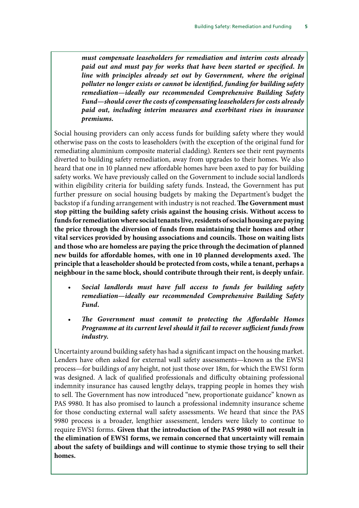*must compensate leaseholders for remediation and interim costs already paid out and must pay for works that have been started or specified. In line with principles already set out by Government, where the original polluter no longer exists or cannot be identified, funding for building safety remediation—ideally our recommended Comprehensive Building Safety Fund—should cover the costs of compensating leaseholders for costs already paid out, including interim measures and exorbitant rises in insurance premiums.*

Social housing providers can only access funds for building safety where they would otherwise pass on the costs to leaseholders (with the exception of the original fund for remediating aluminium composite material cladding). Renters see their rent payments diverted to building safety remediation, away from upgrades to their homes. We also heard that one in 10 planned new affordable homes have been axed to pay for building safety works. We have previously called on the Government to include social landlords within eligibility criteria for building safety funds. Instead, the Government has put further pressure on social housing budgets by making the Department's budget the backstop if a funding arrangement with industry is not reached. **The Government must stop pitting the building safety crisis against the housing crisis. Without access to funds for remediation where social tenants live, residents of social housing are paying the price through the diversion of funds from maintaining their homes and other vital services provided by housing associations and councils. Those on waiting lists and those who are homeless are paying the price through the decimation of planned new builds for affordable homes, with one in 10 planned developments axed. The principle that a leaseholder should be protected from costs, while a tenant, perhaps a neighbour in the same block, should contribute through their rent, is deeply unfair.**

- *Social landlords must have full access to funds for building safety remediation—ideally our recommended Comprehensive Building Safety Fund.*
- *The Government must commit to protecting the Affordable Homes Programme at its current level should it fail to recover sufficient funds from industry.*

Uncertainty around building safety has had a significant impact on the housing market. Lenders have often asked for external wall safety assessments—known as the EWS1 process—for buildings of any height, not just those over 18m, for which the EWS1 form was designed. A lack of qualified professionals and difficulty obtaining professional indemnity insurance has caused lengthy delays, trapping people in homes they wish to sell. The Government has now introduced "new, proportionate guidance" known as PAS 9980. It has also promised to launch a professional indemnity insurance scheme for those conducting external wall safety assessments. We heard that since the PAS 9980 process is a broader, lengthier assessment, lenders were likely to continue to require EWS1 forms. **Given that the introduction of the PAS 9980 will not result in the elimination of EWS1 forms, we remain concerned that uncertainty will remain about the safety of buildings and will continue to stymie those trying to sell their homes.**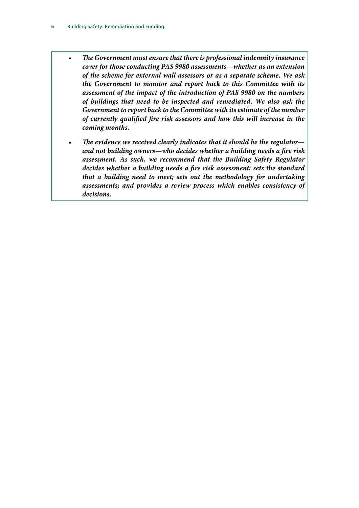- *The Government must ensure that there is professional indemnity insurance cover for those conducting PAS 9980 assessments—whether as an extension of the scheme for external wall assessors or as a separate scheme. We ask the Government to monitor and report back to this Committee with its assessment of the impact of the introduction of PAS 9980 on the numbers of buildings that need to be inspected and remediated. We also ask the Government to report back to the Committee with its estimate of the number of currently qualified fire risk assessors and how this will increase in the coming months.*
- *The evidence we received clearly indicates that it should be the regulator and not building owners—who decides whether a building needs a fire risk assessment. As such, we recommend that the Building Safety Regulator decides whether a building needs a fire risk assessment; sets the standard that a building need to meet; sets out the methodology for undertaking assessments; and provides a review process which enables consistency of decisions.*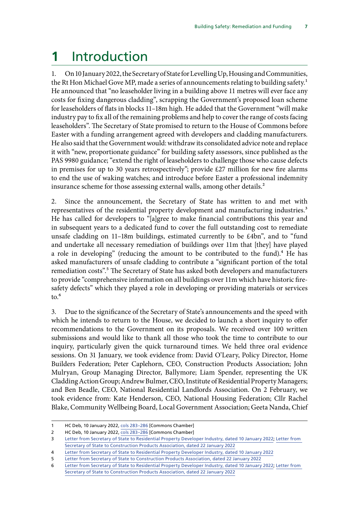## <span id="page-10-0"></span>**1** Introduction

1. On 10 January 2022, the Secretary of State for Levelling Up, Housing and Communities, the Rt Hon Michael Gove MP, made a series of announcements relating to building safety.<sup>1</sup> He announced that "no leaseholder living in a building above 11 metres will ever face any costs for fixing dangerous cladding", scrapping the Government's proposed loan scheme for leaseholders of flats in blocks 11–18m high. He added that the Government "will make industry pay to fix all of the remaining problems and help to cover the range of costs facing leaseholders". The Secretary of State promised to return to the House of Commons before Easter with a funding arrangement agreed with developers and cladding manufacturers. He also said that the Government would: withdraw its consolidated advice note and replace it with "new, proportionate guidance" for building safety assessors, since published as the PAS 9980 guidance; "extend the right of leaseholders to challenge those who cause defects in premises for up to 30 years retrospectively"; provide £27 million for new fire alarms to end the use of waking watches; and introduce before Easter a professional indemnity insurance scheme for those assessing external walls, among other details.<sup>2</sup>

2. Since the announcement, the Secretary of State has written to and met with representatives of the residential property development and manufacturing industries.<sup>3</sup> He has called for developers to "[a]gree to make financial contributions this year and in subsequent years to a dedicated fund to cover the full outstanding cost to remediate unsafe cladding on 11–18m buildings, estimated currently to be £4bn", and to "fund and undertake all necessary remediation of buildings over 11m that [they] have played a role in developing" (reducing the amount to be contributed to the fund).<sup>4</sup> He has asked manufacturers of unsafe cladding to contribute a "significant portion of the total remediation costs".<sup>5</sup> The Secretary of State has asked both developers and manufacturers to provide "comprehensive information on all buildings over 11m which have historic firesafety defects" which they played a role in developing or providing materials or services  $\mathrm{to}$ . $\mathrm{^6}$ 

3. Due to the significance of the Secretary of State's announcements and the speed with which he intends to return to the House, we decided to launch a short inquiry to offer recommendations to the Government on its proposals. We received over 100 written submissions and would like to thank all those who took the time to contribute to our inquiry, particularly given the quick turnaround times. We held three oral evidence sessions. On 31 January, we took evidence from: David O'Leary, Policy Director, Home Builders Federation; Peter Caplehorn, CEO, Construction Products Association; John Mulryan, Group Managing Director, Ballymore; Liam Spender, representing the UK Cladding Action Group; Andrew Bulmer, CEO, Institute of Residential Property Managers; and Ben Beadle, CEO, National Residential Landlords Association. On 2 February, we took evidence from: Kate Henderson, CEO, National Housing Federation; Cllr Rachel Blake, Community Wellbeing Board, Local Government Association; Geeta Nanda, Chief

<sup>1</sup> HC Deb, 10 January 2022, [cols 283–](https://hansard.parliament.uk/Commons/2022-01-10/debates/2B1490CB-A149-4E31-866E-B2C7DA5EE2F8/BuildingSafety)286 [Commons Chamber]

<sup>2</sup> HC Deb, 10 January 2022, [cols 283–](https://hansard.parliament.uk/Commons/2022-01-10/debates/2B1490CB-A149-4E31-866E-B2C7DA5EE2F8/BuildingSafety)286 [Commons Chamber]

<sup>3</sup> [Letter from Secretary of State to Residential Property Developer Industry, dated 10 January 2022;](https://assets.publishing.service.gov.uk/government/uploads/system/uploads/attachment_data/file/1045412/Letter_to_Residential_Property_Developer_Industry.pdf) [Letter from](https://assets.publishing.service.gov.uk/government/uploads/system/uploads/attachment_data/file/1049251/22-01-22_Letter_to_CPA_from_DLUHC_SoS.pdf)  [Secretary of State to Construction Products Association, dated 22 January 2022](https://assets.publishing.service.gov.uk/government/uploads/system/uploads/attachment_data/file/1049251/22-01-22_Letter_to_CPA_from_DLUHC_SoS.pdf)

<sup>4</sup> [Letter from Secretary of State to Residential Property Developer Industry, dated 10 January 2022](https://assets.publishing.service.gov.uk/government/uploads/system/uploads/attachment_data/file/1045412/Letter_to_Residential_Property_Developer_Industry.pdf)

<sup>5</sup> [Letter from Secretary of State to Construction Products Association, dated 22 January 2022](https://assets.publishing.service.gov.uk/government/uploads/system/uploads/attachment_data/file/1049251/22-01-22_Letter_to_CPA_from_DLUHC_SoS.pdf)

<sup>6</sup> [Letter from Secretary of State to Residential Property Developer Industry, dated 10 January 2022;](https://assets.publishing.service.gov.uk/government/uploads/system/uploads/attachment_data/file/1045412/Letter_to_Residential_Property_Developer_Industry.pdf) [Letter from](https://assets.publishing.service.gov.uk/government/uploads/system/uploads/attachment_data/file/1049251/22-01-22_Letter_to_CPA_from_DLUHC_SoS.pdf)  [Secretary of State to Construction Products Association, dated 22 January 2022](https://assets.publishing.service.gov.uk/government/uploads/system/uploads/attachment_data/file/1049251/22-01-22_Letter_to_CPA_from_DLUHC_SoS.pdf)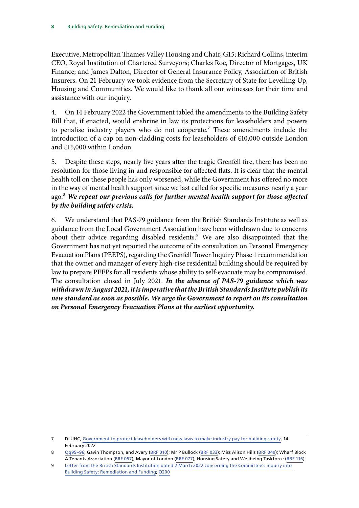Executive, Metropolitan Thames Valley Housing and Chair, G15; Richard Collins, interim CEO, Royal Institution of Chartered Surveyors; Charles Roe, Director of Mortgages, UK Finance; and James Dalton, Director of General Insurance Policy, Association of British Insurers. On 21 February we took evidence from the Secretary of State for Levelling Up, Housing and Communities. We would like to thank all our witnesses for their time and assistance with our inquiry.

4. On 14 February 2022 the Government tabled the amendments to the Building Safety Bill that, if enacted, would enshrine in law its protections for leaseholders and powers to penalise industry players who do not cooperate.<sup>7</sup> These amendments include the introduction of a cap on non-cladding costs for leaseholders of £10,000 outside London and £15,000 within London.

5. Despite these steps, nearly five years after the tragic Grenfell fire, there has been no resolution for those living in and responsible for affected flats. It is clear that the mental health toll on these people has only worsened, while the Government has offered no more in the way of mental health support since we last called for specific measures nearly a year ago.8 *We repeat our previous calls for further mental health support for those affected by the building safety crisis.*

<span id="page-11-1"></span><span id="page-11-0"></span>6. We understand that PAS-79 guidance from the British Standards Institute as well as guidance from the Local Government Association have been withdrawn due to concerns about their advice regarding disabled residents.<sup>9</sup> We are also disappointed that the Government has not yet reported the outcome of its consultation on Personal Emergency Evacuation Plans (PEEPS), regarding the Grenfell Tower Inquiry Phase 1 recommendation that the owner and manager of every high-rise residential building should be required by law to prepare PEEPs for all residents whose ability to self-evacuate may be compromised. The consultation closed in July 2021. *In the absence of PAS-79 guidance which was withdrawn in August 2021, it is imperative that the British Standards Institute publish its new standard as soon as possible. We urge the Government to report on its consultation on Personal Emergency Evacuation Plans at the earliest opportunity.*

<sup>7</sup> DLUHC, [Government to protect leaseholders with new laws to make industry pay for building safety,](https://www.gov.uk/government/news/government-to-protect-leaseholders-with-new-laws-to-make-industry-pay-for-building-safety) 14 February 2022

<sup>8</sup> [Qq95–96](https://committees.parliament.uk/oralevidence/3354/html/); Gavin Thompson, and Avery [\(BRF 010](https://committees.parliament.uk/writtenevidence/43188/html/)); Mr P Bullock ([BRF 033\)](https://committees.parliament.uk/writtenevidence/43770/html/); Miss Alison Hills ([BRF 049\)](https://committees.parliament.uk/writtenevidence/81548/html/); Wharf Block A Tenants Association ([BRF 057\)](https://committees.parliament.uk/writtenevidence/86083/html/); Mayor of London ([BRF 077\)](https://committees.parliament.uk/writtenevidence/106240/html/); Housing Safety and Wellbeing Taskforce [\(BRF 116\)](https://committees.parliament.uk/writtenevidence/106368/html/)

<sup>9</sup> [Letter from the British Standards Institution dated 2 March 2022 concerning the Committee's inquiry into](https://committees.parliament.uk/publications/9178/documents/159742/default/)  [Building Safety: Remediation and Funding;](https://committees.parliament.uk/publications/9178/documents/159742/default/) [Q200](https://committees.parliament.uk/oralevidence/3448/html/)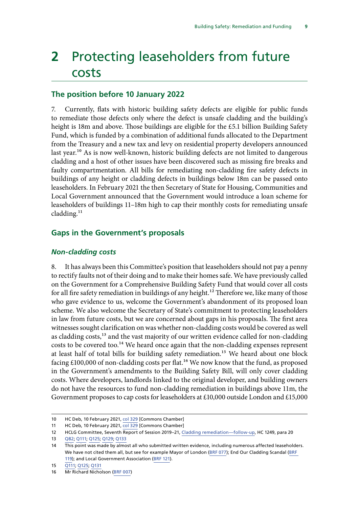### <span id="page-12-0"></span>**2** Protecting leaseholders from future costs

#### **The position before 10 January 2022**

7. Currently, flats with historic building safety defects are eligible for public funds to remediate those defects only where the defect is unsafe cladding and the building's height is 18m and above. Those buildings are eligible for the £5.1 billion Building Safety Fund, which is funded by a combination of additional funds allocated to the Department from the Treasury and a new tax and levy on residential property developers announced last year.<sup>10</sup> As is now well-known, historic building defects are not limited to dangerous cladding and a host of other issues have been discovered such as missing fire breaks and faulty compartmentation. All bills for remediating non-cladding fire safety defects in buildings of any height or cladding defects in buildings below 18m can be passed onto leaseholders. In February 2021 the then Secretary of State for Housing, Communities and Local Government announced that the Government would introduce a loan scheme for leaseholders of buildings 11–18m high to cap their monthly costs for remediating unsafe cladding. $^{11}$ 

#### **Gaps in the Government's proposals**

#### *Non-cladding costs*

8. It has always been this Committee's position that leaseholders should not pay a penny to rectify faults not of their doing and to make their homes safe. We have previously called on the Government for a Comprehensive Building Safety Fund that would cover all costs for all fire safety remediation in buildings of any height.<sup>12</sup> Therefore we, like many of those who gave evidence to us, welcome the Government's abandonment of its proposed loan scheme. We also welcome the Secretary of State's commitment to protecting leaseholders in law from future costs, but we are concerned about gaps in his proposals. The first area witnesses sought clarification on was whether non-cladding costs would be covered as well as cladding costs,<sup>13</sup> and the vast majority of our written evidence called for non-cladding costs to be covered too.<sup>14</sup> We heard once again that the non-cladding expenses represent at least half of total bills for building safety remediation.<sup>15</sup> We heard about one block facing  $£100,000$  of non-cladding costs per flat.<sup>16</sup> We now know that the fund, as proposed in the Government's amendments to the Building Safety Bill, will only cover cladding costs. Where developers, landlords linked to the original developer, and building owners do not have the resources to fund non-cladding remediation in buildings above 11m, the Government proposes to cap costs for leaseholders at £10,000 outside London and £15,000

<sup>10</sup> HC Deb, 10 February 2021, [col 329](https://hansard.parliament.uk/commons/2021-02-10/debates/010B9751-BCBE-48F5-AEEC-6F3416777D73/BuildingSafety) [Commons Chamber]

<sup>11</sup> HC Deb, 10 February 2021, [col 329](https://hansard.parliament.uk/commons/2021-02-10/debates/010B9751-BCBE-48F5-AEEC-6F3416777D73/BuildingSafety) [Commons Chamber]

<sup>12</sup> HCLG Committee, Seventh Report of Session 2019–21, [Cladding remediation—follow-up,](https://publications.parliament.uk/pa/cm5801/cmselect/cmcomloc/1249/124902.htm) HC 1249, para 20

<sup>13</sup> [Q82](https://committees.parliament.uk/oralevidence/3354/html/); [Q111](https://committees.parliament.uk/oralevidence/3363/html/); [Q125](https://committees.parliament.uk/oralevidence/3363/html/); [Q129;](https://committees.parliament.uk/oralevidence/3363/html/) [Q133](https://committees.parliament.uk/oralevidence/3363/html/)

<sup>14</sup> This point was made by almost all who submitted written evidence, including numerous affected leaseholders. We have not cited them all, but see for example Mayor of London ([BRF 077\)](https://committees.parliament.uk/writtenevidence/106240/html/); End Our Cladding Scandal ([BRF](https://committees.parliament.uk/writtenevidence/106474/html/)  [119\)](https://committees.parliament.uk/writtenevidence/106474/html/); and Local Government Association ([BRF 121\)](https://committees.parliament.uk/writtenevidence/106486/html/).

<sup>15</sup> [Q111;](https://committees.parliament.uk/oralevidence/3363/html/) [Q125;](https://committees.parliament.uk/oralevidence/3363/html/) [Q131](https://committees.parliament.uk/oralevidence/3363/html/)

<sup>16</sup> Mr Richard Nicholson ([BRF 007\)](https://committees.parliament.uk/writtenevidence/43116/html/)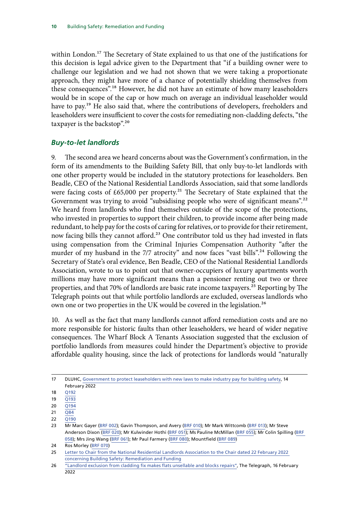<span id="page-13-0"></span>within London.<sup>17</sup> The Secretary of State explained to us that one of the justifications for this decision is legal advice given to the Department that "if a building owner were to challenge our legislation and we had not shown that we were taking a proportionate approach, they might have more of a chance of potentially shielding themselves from these consequences".18 However, he did not have an estimate of how many leaseholders would be in scope of the cap or how much on average an individual leaseholder would have to pay.<sup>19</sup> He also said that, where the contributions of developers, freeholders and leaseholders were insufficient to cover the costs for remediating non-cladding defects, "the taxpayer is the backstop".20

#### *Buy-to-let landlords*

9. The second area we heard concerns about was the Government's confirmation, in the form of its amendments to the Building Safety Bill, that only buy-to-let landlords with one other property would be included in the statutory protections for leaseholders. Ben Beadle, CEO of the National Residential Landlords Association, said that some landlords were facing costs of  $£65,000$  per property.<sup>21</sup> The Secretary of State explained that the Government was trying to avoid "subsidising people who were of significant means".<sup>22</sup> We heard from landlords who find themselves outside of the scope of the protections, who invested in properties to support their children, to provide income after being made redundant, to help pay for the costs of caring for relatives, or to provide for their retirement, now facing bills they cannot afford.<sup>23</sup> One contributor told us they had invested in flats using compensation from the Criminal Injuries Compensation Authority "after the murder of my husband in the 7/7 atrocity" and now faces "vast bills".<sup>24</sup> Following the Secretary of State's oral evidence, Ben Beadle, CEO of the National Residential Landlords Association, wrote to us to point out that owner-occupiers of luxury apartments worth millions may have more significant means than a pensioner renting out two or three properties, and that 70% of landlords are basic rate income taxpayers.<sup>25</sup> Reporting by The Telegraph points out that while portfolio landlords are excluded, overseas landlords who own one or two properties in the UK would be covered in the legislation.<sup>26</sup>

10. As well as the fact that many landlords cannot afford remediation costs and are no more responsible for historic faults than other leaseholders, we heard of wider negative consequences. The Wharf Block A Tenants Association suggested that the exclusion of portfolio landlords from measures could hinder the Department's objective to provide affordable quality housing, since the lack of protections for landlords would "naturally

<sup>17</sup> DLUHC, [Government to protect leaseholders with new laws to make industry pay for building safety,](https://www.gov.uk/government/news/government-to-protect-leaseholders-with-new-laws-to-make-industry-pay-for-building-safety) 14 February 2022

<sup>18</sup> [Q192](https://committees.parliament.uk/oralevidence/3448/html/)

<sup>19</sup> [Q193](https://committees.parliament.uk/oralevidence/3448/html/)

<sup>20</sup> [Q194](https://committees.parliament.uk/oralevidence/3448/html/)

<sup>21</sup>  $\overline{O84}$ 

<sup>22</sup> [Q190](https://committees.parliament.uk/oralevidence/3448/html/)

<sup>23</sup> Mr Marc Gayer [\(BRF 002](https://committees.parliament.uk/writtenevidence/42993/html/)); Gavin Thompson, and Avery [\(BRF 010\)](https://committees.parliament.uk/writtenevidence/43188/html/); Mr Mark Wittcomb ([BRF 013](https://committees.parliament.uk/writtenevidence/43340/html/)); Mr Steve Anderson Dixon [\(BRF 020](https://committees.parliament.uk/writtenevidence/43560/html/)); Mr Kulwinder Hothi ([BRF 051\)](https://committees.parliament.uk/writtenevidence/86069/html/); Ms Pauline McMillan ([BRF 055\)](https://committees.parliament.uk/writtenevidence/86072/html/); Mr Colin Spilling [\(BRF](https://committees.parliament.uk/writtenevidence/90500/html/)  [058\)](https://committees.parliament.uk/writtenevidence/90500/html/); Mrs Jing Wang ([BRF 061](https://committees.parliament.uk/writtenevidence/106206/html/)); Mr Paul Farmery [\(BRF 080\)](https://committees.parliament.uk/writtenevidence/106243/html/); Mountfield ([BRF 089\)](https://committees.parliament.uk/writtenevidence/106259/html/)

<sup>24</sup> Ros Morley ([BRF 070\)](https://committees.parliament.uk/writtenevidence/106219/html/)

<sup>25</sup> [Letter to Chair from the National Residential Landlords Association to the Chair dated 22 February 2022](https://committees.parliament.uk/publications/9036/documents/159154/default/)  [concerning Building Safety: Remediation and Funding](https://committees.parliament.uk/publications/9036/documents/159154/default/)

<sup>26</sup> ["Landlord exclusion from cladding fix makes flats unsellable and blocks repairs",](https://www.telegraph.co.uk/property/uk/excluding-landlords-cladding-fix-will-block-building-repairs/?utm_source=HOC+Library+-+Current+awareness+bulletins&utm_campaign=19b9035ddc-Current_Awareness_Social_Policy_E_17-02-2022&utm_medium=email&utm_term=0_f325cdbfdc-19b9035ddc-103933201&mc_cid=19b9035ddc&mc_eid=1a1093be63) The Telegraph, 16 February 2022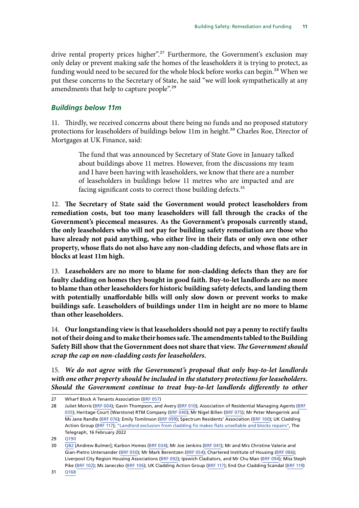<span id="page-14-0"></span>drive rental property prices higher".<sup>27</sup> Furthermore, the Government's exclusion may only delay or prevent making safe the homes of the leaseholders it is trying to protect, as funding would need to be secured for the whole block before works can begin.<sup>28</sup> When we put these concerns to the Secretary of State, he said "we will look sympathetically at any amendments that help to capture people".29

#### *Buildings below 11m*

11. Thirdly, we received concerns about there being no funds and no proposed statutory protections for leaseholders of buildings below 11m in height.<sup>30</sup> Charles Roe, Director of Mortgages at UK Finance, said:

> The fund that was announced by Secretary of State Gove in January talked about buildings above 11 metres. However, from the discussions my team and I have been having with leaseholders, we know that there are a number of leaseholders in buildings below 11 metres who are impacted and are facing significant costs to correct those building defects.<sup>31</sup>

<span id="page-14-1"></span>12. **The Secretary of State said the Government would protect leaseholders from remediation costs, but too many leaseholders will fall through the cracks of the Government's piecemeal measures. As the Government's proposals currently stand, the only leaseholders who will not pay for building safety remediation are those who have already not paid anything, who either live in their flats or only own one other property, whose flats do not also have any non-cladding defects, and whose flats are in blocks at least 11m high.**

<span id="page-14-2"></span>13. **Leaseholders are no more to blame for non-cladding defects than they are for faulty cladding on homes they bought in good faith. Buy-to-let landlords are no more to blame than other leaseholders for historic building safety defects, and landing them with potentially unaffordable bills will only slow down or prevent works to make buildings safe. Leaseholders of buildings under 11m in height are no more to blame than other leaseholders.**

<span id="page-14-3"></span>14. **Our longstanding view is that leaseholders should not pay a penny to rectify faults not of their doing and to make their homes safe. The amendments tabled to the Building Safety Bill show that the Government does not share that view.** *The Government should scrap the cap on non-cladding costs for leaseholders.*

<span id="page-14-4"></span>15. *We do not agree with the Government's proposal that only buy-to-let landlords with one other property should be included in the statutory protections for leaseholders.*  Should the Government continue to treat buy-to-let landlords differently to other

<sup>27</sup> Wharf Block A Tenants Association ([BRF 057\)](https://committees.parliament.uk/writtenevidence/86083/html/)

<sup>28</sup> Juliet Morris ([BRF 004](https://committees.parliament.uk/writtenevidence/43075/html/)); Gavin Thompson, and Avery ([BRF 010\)](https://committees.parliament.uk/writtenevidence/43188/html/); Association of Residential Managing Agents ([BRF](https://committees.parliament.uk/writtenevidence/43789/html/)  [035](https://committees.parliament.uk/writtenevidence/43789/html/)); Heritage Court (Warstone) RTM Company [\(BRF 040\)](https://committees.parliament.uk/writtenevidence/58209/html/); Mr Nigel Billen ([BRF 075\)](https://committees.parliament.uk/writtenevidence/106233/html/); Mr Peter Mengerink and Ms Jane Randle ([BRF 076](https://committees.parliament.uk/writtenevidence/106239/html/)); Emily Tomlinson [\(BRF 099](https://committees.parliament.uk/writtenevidence/106271/html/)); Spectrum Residents' Association ([BRF 100](https://committees.parliament.uk/writtenevidence/106272/html/)); UK Cladding Action Group [\(BRF 117\)](https://committees.parliament.uk/writtenevidence/106472/html/); ["Landlord exclusion from cladding fix makes flats unsellable and blocks repairs"](https://www.telegraph.co.uk/property/uk/excluding-landlords-cladding-fix-will-block-building-repairs/?utm_source=HOC+Library+-+Current+awareness+bulletins&utm_campaign=19b9035ddc-Current_Awareness_Social_Policy_E_17-02-2022&utm_medium=email&utm_term=0_f325cdbfdc-19b9035ddc-103933201&mc_cid=19b9035ddc&mc_eid=1a1093be63), The Telegraph, 16 February 2022

<sup>29</sup> [Q190](https://committees.parliament.uk/oralevidence/3448/html/)

<sup>30</sup> [Q82](https://committees.parliament.uk/oralevidence/3354/html/) [Andrew Bulmer]; Karbon Homes ([BRF 034](https://committees.parliament.uk/writtenevidence/43771/html/)); Mr Joe Jenkins ([BRF 041](https://committees.parliament.uk/writtenevidence/58211/html/)); Mr and Mrs Christine Valerie and Gian-Pietro Untersander ([BRF 050](https://committees.parliament.uk/writtenevidence/86064/html/)); Mr Mark Berentzen [\(BRF 054](https://committees.parliament.uk/writtenevidence/86071/html/)); Chartered Institute of Housing [\(BRF 086\)](https://committees.parliament.uk/writtenevidence/106255/html/); Liverpool City Region Housing Associations ([BRF 092](https://committees.parliament.uk/writtenevidence/106263/html/)); Ipswich Cladiators, and Mr Chu Man ([BRF 094](https://committees.parliament.uk/writtenevidence/106266/html/)); Miss Steph Pike ([BRF 102\)](https://committees.parliament.uk/writtenevidence/106274/html/); Ms Janeczko ([BRF 106\)](https://committees.parliament.uk/writtenevidence/106278/html/); UK Cladding Action Group ([BRF 117\)](https://committees.parliament.uk/writtenevidence/106472/html/); End Our Cladding Scandal ([BRF 119\)](https://committees.parliament.uk/writtenevidence/106474/html/)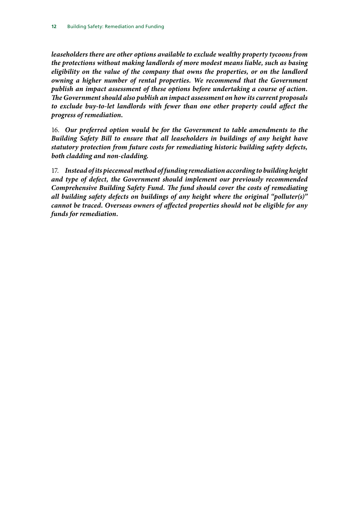*leaseholders there are other options available to exclude wealthy property tycoons from the protections without making landlords of more modest means liable, such as basing eligibility on the value of the company that owns the properties, or on the landlord owning a higher number of rental properties. We recommend that the Government publish an impact assessment of these options before undertaking a course of action. The Government should also publish an impact assessment on how its current proposals to exclude buy-to-let landlords with fewer than one other property could affect the progress of remediation.*

<span id="page-15-0"></span>16. *Our preferred option would be for the Government to table amendments to the Building Safety Bill to ensure that all leaseholders in buildings of any height have statutory protection from future costs for remediating historic building safety defects, both cladding and non-cladding.*

<span id="page-15-1"></span>17. *Instead of its piecemeal method of funding remediation according to building height and type of defect, the Government should implement our previously recommended Comprehensive Building Safety Fund. The fund should cover the costs of remediating all building safety defects on buildings of any height where the original "polluter(s)" cannot be traced. Overseas owners of affected properties should not be eligible for any funds for remediation.*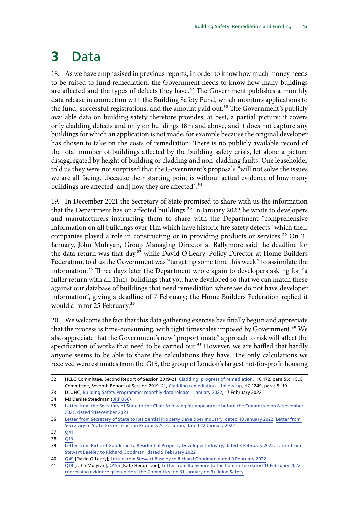# <span id="page-16-0"></span>**3** Data

18. As we have emphasised in previous reports, in order to know how much money needs to be raised to fund remediation, the Government needs to know how many buildings are affected and the types of defects they have.<sup>32</sup> The Government publishes a monthly data release in connection with the Building Safety Fund, which monitors applications to the fund, successful registrations, and the amount paid out.<sup>33</sup> The Government's publicly available data on building safety therefore provides, at best, a partial picture: it covers only cladding defects and only on buildings 18m and above, and it does not capture any buildings for which an application is not made, for example because the original developer has chosen to take on the costs of remediation. There is no publicly available record of the total number of buildings affected by the building safety crisis, let alone a picture disaggregated by height of building or cladding and non-cladding faults. One leaseholder told us they were not surprised that the Government's proposals "will not solve the issues we are all facing…because their starting point is without actual evidence of how many buildings are affected [and] how they are affected".<sup>34</sup>

19. In December 2021 the Secretary of State promised to share with us the information that the Department has on affected buildings.<sup>35</sup> In January 2022 he wrote to developers and manufacturers instructing them to share with the Department "comprehensive information on all buildings over 11m which have historic fire safety defects" which their companies played a role in constructing or in providing products or services.<sup>36</sup> On 31 January, John Mulryan, Group Managing Director at Ballymore said the deadline for the data return was that day,<sup>37</sup> while David O'Leary, Policy Director at Home Builders Federation, told us the Government was "targeting some time this week" to assimilate the information.<sup>38</sup> Three days later the Department wrote again to developers asking for "a fuller return with all 11m+ buildings that you have developed so that we can match these against our database of buildings that need remediation where we do not have developer information", giving a deadline of 7 February; the Home Builders Federation replied it would aim for 25 February.<sup>39</sup>

20. We welcome the fact that this data gathering exercise has finally begun and appreciate that the process is time-consuming, with tight timescales imposed by Government.<sup>40</sup> We also appreciate that the Government's new "proportionate" approach to risk will affect the specification of works that need to be carried out.<sup>41</sup> However, we are baffled that hardly anyone seems to be able to share the calculations they have. The only calculations we received were estimates from the G15, the group of London's largest not-for-profit housing

<sup>32</sup> HCLG Committee, Second Report of Session 2019-21[, Cladding: progress of remediation](https://committees.parliament.uk/publications/5702/documents/56234/default/), HC 172, para 56; HCLG Committee, Seventh Report of Session 2019–21, [Cladding remediation—follow-up](https://publications.parliament.uk/pa/cm5801/cmselect/cmcomloc/1249/124902.htm), HC 1249, paras 5–10

<sup>33</sup> DLUHC, [Building Safety Programme: monthly data release - January 2022,](https://www.gov.uk/government/publications/building-safety-programme-monthly-data-release-january-2022) 17 February 2022

<sup>34</sup> Ms Denise Steadman [\(BRF 066\)](https://committees.parliament.uk/writtenevidence/106211/html/)

<sup>35</sup> [Letter from the Secretary of State to the Chair following his appearance before the Committee on 8 November](https://committees.parliament.uk/publications/8208/documents/84140/default/)  [2021, dated 9 December 2021](https://committees.parliament.uk/publications/8208/documents/84140/default/)

<sup>36</sup> [Letter from Secretary of State to Residential Property Developer Industry, dated 10 January 2022;](https://assets.publishing.service.gov.uk/government/uploads/system/uploads/attachment_data/file/1045412/Letter_to_Residential_Property_Developer_Industry.pdf) [Letter from](https://assets.publishing.service.gov.uk/government/uploads/system/uploads/attachment_data/file/1049251/22-01-22_Letter_to_CPA_from_DLUHC_SoS.pdf)  [Secretary of State to Construction Products Association, dated 22 January 2022](https://assets.publishing.service.gov.uk/government/uploads/system/uploads/attachment_data/file/1049251/22-01-22_Letter_to_CPA_from_DLUHC_SoS.pdf)

<sup>37</sup>  $\overline{O41}$ 

<sup>38</sup> [Q13](https://committees.parliament.uk/oralevidence/3354/html/)

<sup>39</sup> [Letter from Richard Goodman to Residential Property Developer Industry, dated 3 February 2022](https://assets.publishing.service.gov.uk/government/uploads/system/uploads/attachment_data/file/1052494/Letter_to_Developers.pdf); [Letter from](https://www.hbf.co.uk/documents/11571/9_February_2022_Richard_Goodman_DLUHC_pLmLBWR.pdf)  [Stewart Baseley to Richard Goodman, dated 9 February 2022](https://www.hbf.co.uk/documents/11571/9_February_2022_Richard_Goodman_DLUHC_pLmLBWR.pdf)

<sup>40</sup> [Q49](https://committees.parliament.uk/oralevidence/3354/html/) [David O'Leary]; [Letter from Stewart Baseley to Richard Goodman dated 9 February 2022](https://www.hbf.co.uk/documents/11571/9_February_2022_Richard_Goodman_DLUHC_pLmLBWR.pdf)

<sup>41</sup> [Q19](https://committees.parliament.uk/oralevidence/3354/html/) [John Mulyran]; [Q155](https://committees.parliament.uk/oralevidence/3363/html/) [Kate Henderson]; [Letter from Ballymore to the Committee dated 11 February 2022](https://committees.parliament.uk/publications/8927/documents/152346/default/)  [concerning evidence given before the Committee on 31 January on Building Safety](https://committees.parliament.uk/publications/8927/documents/152346/default/)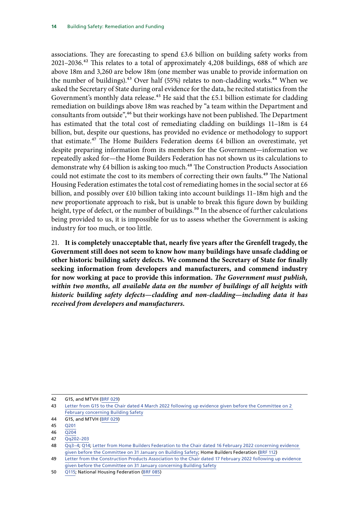associations. They are forecasting to spend £3.6 billion on building safety works from  $2021-2036<sup>42</sup>$  This relates to a total of approximately 4,208 buildings, 688 of which are above 18m and 3,260 are below 18m (one member was unable to provide information on the number of buildings).<sup>43</sup> Over half (55%) relates to non-cladding works.<sup>44</sup> When we asked the Secretary of State during oral evidence for the data, he recited statistics from the Government's monthly data release.<sup>45</sup> He said that the £5.1 billion estimate for cladding remediation on buildings above 18m was reached by "a team within the Department and consultants from outside",<sup>46</sup> but their workings have not been published. The Department has estimated that the total cost of remediating cladding on buildings 11–18m is £4 billion, but, despite our questions, has provided no evidence or methodology to support that estimate.47 The Home Builders Federation deems £4 billion an overestimate, yet despite preparing information from its members for the Government—information we repeatedly asked for—the Home Builders Federation has not shown us its calculations to demonstrate why £4 billion is asking too much.<sup>48</sup> The Construction Products Association could not estimate the cost to its members of correcting their own faults.<sup>49</sup> The National Housing Federation estimates the total cost of remediating homes in the social sector at  $\pm 6$ billion, and possibly over £10 billion taking into account buildings 11–18m high and the new proportionate approach to risk, but is unable to break this figure down by building height, type of defect, or the number of buildings.<sup>50</sup> In the absence of further calculations being provided to us, it is impossible for us to assess whether the Government is asking industry for too much, or too little.

<span id="page-17-0"></span>21. **It is completely unacceptable that, nearly five years after the Grenfell tragedy, the Government still does not seem to know how many buildings have unsafe cladding or other historic building safety defects. We commend the Secretary of State for finally seeking information from developers and manufacturers, and commend industry for now working at pace to provide this information.** *The Government must publish, within two months, all available data on the number of buildings of all heights with historic building safety defects—cladding and non-cladding—including data it has received from developers and manufacturers.*

<sup>42</sup> G15, and MTVH [\(BRF 029](https://committees.parliament.uk/writtenevidence/43731/html/))

<sup>43</sup> [Letter from G15 to the Chair dated 4 March 2022 following up evidence given before the Committee on 2](https://committees.parliament.uk/publications/9177/documents/159741/default/)  [February concerning Building Safety](https://committees.parliament.uk/publications/9177/documents/159741/default/)

<sup>44</sup> G15, and MTVH [\(BRF 029](https://committees.parliament.uk/writtenevidence/43731/html/))

<sup>45</sup> [Q201](https://committees.parliament.uk/oralevidence/3448/html/)

<sup>46</sup>  $\overline{O204}$ 

<sup>47</sup> [Qq202–203](https://committees.parliament.uk/oralevidence/3448/html/)

<sup>48</sup> [Qq3–4](https://committees.parliament.uk/oralevidence/3354/html/); [Q14;](https://committees.parliament.uk/oralevidence/3354/html/) [Letter from Home Builders Federation to the Chair dated 16 February 2022 concerning evidence](https://committees.parliament.uk/publications/8915/documents/152324/default/)  [given before the Committee on 31 January on Building Safety;](https://committees.parliament.uk/publications/8915/documents/152324/default/) Home Builders Federation [\(BRF 112](https://committees.parliament.uk/writtenevidence/106349/html/))

<sup>49</sup> [Letter from the Construction Products Association to the Chair dated 17 February 2022 following up evidence](https://committees.parliament.uk/publications/9035/documents/159153/default/)  [given before the Committee on 31 January concerning Building Safety](https://committees.parliament.uk/publications/9035/documents/159153/default/)

<sup>50</sup> [Q115](https://committees.parliament.uk/oralevidence/3363/html/); National Housing Federation [\(BRF 085](https://committees.parliament.uk/writtenevidence/106253/html/))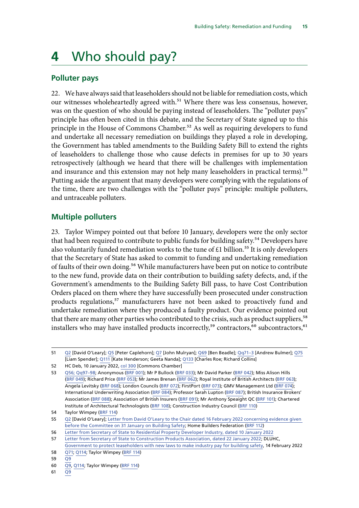# <span id="page-18-0"></span>**4** Who should pay?

#### **Polluter pays**

22. We have always said that leaseholders should not be liable for remediation costs, which our witnesses wholeheartedly agreed with.<sup>51</sup> Where there was less consensus, however, was on the question of who should be paying instead of leaseholders. The "polluter pays" principle has often been cited in this debate, and the Secretary of State signed up to this principle in the House of Commons Chamber.<sup>52</sup> As well as requiring developers to fund and undertake all necessary remediation on buildings they played a role in developing, the Government has tabled amendments to the Building Safety Bill to extend the rights of leaseholders to challenge those who cause defects in premises for up to 30 years retrospectively (although we heard that there will be challenges with implementation and insurance and this extension may not help many leaseholders in practical terms).<sup>53</sup> Putting aside the argument that many developers were complying with the regulations of the time, there are two challenges with the "polluter pays" principle: multiple polluters, and untraceable polluters.

#### **Multiple polluters**

23. Taylor Wimpey pointed out that before 10 January, developers were the only sector that had been required to contribute to public funds for building safety.<sup>54</sup> Developers have also voluntarily funded remediation works to the tune of  $£1$  billion.<sup>55</sup> It is only developers that the Secretary of State has asked to commit to funding and undertaking remediation of faults of their own doing.<sup>56</sup> While manufacturers have been put on notice to contribute to the new fund, provide data on their contribution to building safety defects, and, if the Government's amendments to the Building Safety Bill pass, to have Cost Contribution Orders placed on them where they have successfully been prosecuted under construction products regulations,<sup>57</sup> manufacturers have not been asked to proactively fund and undertake remediation where they produced a faulty product. Our evidence pointed out that there are many other parties who contributed to the crisis, such as product suppliers,<sup>58</sup> installers who may have installed products incorrectly,<sup>59</sup> contractors,<sup>60</sup> subcontractors,<sup>61</sup>

61  $\overline{Q9}$  $\overline{Q9}$  $\overline{Q9}$ 

<sup>51</sup> [Q2](https://committees.parliament.uk/oralevidence/3354/html/) [David O'Leary]; [Q5](https://committees.parliament.uk/oralevidence/3354/html/) [Peter Caplehorn]; [Q7](https://committees.parliament.uk/oralevidence/3354/html/) [John Mulryan]; [Q69](https://committees.parliament.uk/oralevidence/3354/html/) [Ben Beadle]; [Qq71–3](https://committees.parliament.uk/oralevidence/3354/html/) [Andrew Bulmer]; [Q75](https://committees.parliament.uk/oralevidence/3354/html/) [Liam Spender]; [Q111](https://committees.parliament.uk/oralevidence/3363/html/) [Kate Henderson; Geeta Nanda]; [Q133](https://committees.parliament.uk/oralevidence/3363/html/) [Charles Roe; Richard Collins]

<sup>52</sup> HC Deb, 10 January 2022, [col 300](https://hansard.parliament.uk/Commons/2022-01-10/debates/2B1490CB-A149-4E31-866E-B2C7DA5EE2F8/BuildingSafety) [Commons Chamber]

<sup>53</sup> [Q56; Qq97–98](https://committees.parliament.uk/oralevidence/3354/html/); Anonymous ([BRF 001](https://committees.parliament.uk/writtenevidence/42859/html/)); Mr P Bullock ([BRF 033\)](https://committees.parliament.uk/writtenevidence/43770/html/); Mr David Parker ([BRF 042\)](https://committees.parliament.uk/writtenevidence/58220/html/); Miss Alison Hills [\(BRF 049](https://committees.parliament.uk/writtenevidence/81548/html/)); Richard Price ([BRF 053\)](https://committees.parliament.uk/writtenevidence/86070/html/); Mr James Brenan ([BRF 062](https://committees.parliament.uk/writtenevidence/106207/html/)); Royal Institute of British Architects [\(BRF 063\)](https://committees.parliament.uk/writtenevidence/106208/html/); Angela Levitsky ([BRF 068\)](https://committees.parliament.uk/writtenevidence/106217/html/); London Councils [\(BRF 072\)](https://committees.parliament.uk/writtenevidence/106227/html/); FirstPort ([BRF 073](https://committees.parliament.uk/writtenevidence/106230/html/)); GMV Management Ltd [\(BRF 074\)](https://committees.parliament.uk/writtenevidence/106231/html/); International Underwriting Association ([BRF 084](https://committees.parliament.uk/writtenevidence/106251/html/)); Professor Sarah Lupton [\(BRF 087\)](https://committees.parliament.uk/writtenevidence/106256/html/); British Insurance Brokers' Association [\(BRF 088\)](https://committees.parliament.uk/writtenevidence/106257/html/); Association of British Insurers [\(BRF 091\)](https://committees.parliament.uk/writtenevidence/106262/html/); Mr Anthony Speaight QC ([BRF 101](https://committees.parliament.uk/writtenevidence/106273/html/)); Chartered Institute of Architectural Technologists ([BRF 108\)](https://committees.parliament.uk/writtenevidence/106281/html/); Construction Industry Council [\(BRF 110](https://committees.parliament.uk/writtenevidence/106288/html/))

<sup>54</sup> Taylor Wimpey [\(BRF 114\)](https://committees.parliament.uk/writtenevidence/106351/html/)

<sup>55</sup> [Q2](https://committees.parliament.uk/oralevidence/3354/html/) [David O'Leary]; [Letter from David O'Leary to the Chair dated 16 February 2022 concerning evidence given](https://committees.parliament.uk/publications/8915/documents/152324/default/)  [before the Committee on 31 January on Building Safety](https://committees.parliament.uk/publications/8915/documents/152324/default/); Home Builders Federation ([BRF 112\)](https://committees.parliament.uk/writtenevidence/106349/html/)

<sup>56</sup> [Letter from Secretary of State to Residential Property Developer Industry, dated 10 January 2022](https://assets.publishing.service.gov.uk/government/uploads/system/uploads/attachment_data/file/1045412/Letter_to_Residential_Property_Developer_Industry.pdf)

<sup>57</sup> [Letter from Secretary of State to Construction Products Association, dated 22 January 2022](https://assets.publishing.service.gov.uk/government/uploads/system/uploads/attachment_data/file/1049251/22-01-22_Letter_to_CPA_from_DLUHC_SoS.pdf); DLUHC,

[Government to protect leaseholders with new laws to make industry pay for building safety](https://www.gov.uk/government/news/government-to-protect-leaseholders-with-new-laws-to-make-industry-pay-for-building-safety), 14 February 2022 58 [Q71](https://committees.parliament.uk/oralevidence/3354/html/); [Q114](https://committees.parliament.uk/oralevidence/3363/html/); Taylor Wimpey ([BRF 114\)](https://committees.parliament.uk/writtenevidence/106351/html/)

<sup>59</sup> [Q9](https://committees.parliament.uk/oralevidence/3354/html/)

<sup>60</sup> [Q9,](https://committees.parliament.uk/oralevidence/3354/html/) [Q114;](https://committees.parliament.uk/oralevidence/3363/html/) Taylor Wimpey ([BRF 114\)](https://committees.parliament.uk/writtenevidence/106351/html/)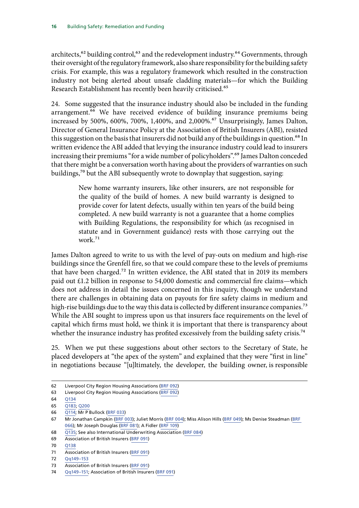architects,<sup>62</sup> building control,<sup>63</sup> and the redevelopment industry.<sup>64</sup> Governments, through their oversight of the regulatory framework, also share responsibility for the building safety crisis. For example, this was a regulatory framework which resulted in the construction industry not being alerted about unsafe cladding materials—for which the Building Research Establishment has recently been heavily criticised.<sup>65</sup>

24. Some suggested that the insurance industry should also be included in the funding arrangement.<sup>66</sup> We have received evidence of building insurance premiums being increased by 500%, 600%, 700%, 1,400%, and 2,000%.<sup>67</sup> Unsurprisingly, James Dalton, Director of General Insurance Policy at the Association of British Insurers (ABI), resisted this suggestion on the basis that insurers did not build any of the buildings in question.<sup>68</sup> In written evidence the ABI added that levying the insurance industry could lead to insurers increasing their premiums "for a wide number of policyholders".<sup>69</sup> James Dalton conceded that there might be a conversation worth having about the providers of warranties on such buildings,<sup>70</sup> but the ABI subsequently wrote to downplay that suggestion, saying:

> New home warranty insurers, like other insurers, are not responsible for the quality of the build of homes. A new build warranty is designed to provide cover for latent defects, usually within ten years of the build being completed. A new build warranty is not a guarantee that a home complies with Building Regulations, the responsibility for which (as recognised in statute and in Government guidance) rests with those carrying out the work.<sup>71</sup>

James Dalton agreed to write to us with the level of pay-outs on medium and high-rise buildings since the Grenfell fire, so that we could compare these to the levels of premiums that have been charged.<sup>72</sup> In written evidence, the ABI stated that in 2019 its members paid out £1.2 billion in response to 54,000 domestic and commercial fire claims—which does not address in detail the issues concerned in this inquiry, though we understand there are challenges in obtaining data on payouts for fire safety claims in medium and high-rise buildings due to the way this data is collected by different insurance companies.<sup>73</sup> While the ABI sought to impress upon us that insurers face requirements on the level of capital which firms must hold, we think it is important that there is transparency about whether the insurance industry has profited excessively from the building safety crisis.<sup>74</sup>

25. When we put these suggestions about other sectors to the Secretary of State, he placed developers at "the apex of the system" and explained that they were "first in line" in negotiations because "[u]ltimately, the developer, the building owner, is responsible

68 [Q135;](https://committees.parliament.uk/oralevidence/3363/html/) See also International Underwriting Association ([BRF 084](https://committees.parliament.uk/writtenevidence/106251/html/))

<sup>62</sup> Liverpool City Region Housing Associations ([BRF 092](https://committees.parliament.uk/writtenevidence/106263/html/))

<sup>63</sup> Liverpool City Region Housing Associations ([BRF 092](https://committees.parliament.uk/writtenevidence/106263/html/))

<sup>64</sup> [Q134](https://committees.parliament.uk/oralevidence/3363/html/)

<sup>65</sup> [Q183; Q200](https://committees.parliament.uk/oralevidence/3448/html/)

<sup>66</sup> [Q114](https://committees.parliament.uk/oralevidence/3363/html/); Mr P Bullock [\(BRF 033](https://committees.parliament.uk/writtenevidence/43770/html/))

<sup>67</sup> Mr Jonathan Campkin [\(BRF 003\)](https://committees.parliament.uk/writtenevidence/43034/html/); Juliet Morris [\(BRF 004\)](https://committees.parliament.uk/writtenevidence/43075/html/); Miss Alison Hills ([BRF 049\)](https://committees.parliament.uk/writtenevidence/81548/html/); Ms Denise Steadman ([BRF](https://committees.parliament.uk/writtenevidence/106211/html/)  [066\)](https://committees.parliament.uk/writtenevidence/106211/html/); Mr Joseph Douglas ([BRF 081\)](https://committees.parliament.uk/writtenevidence/106245/html/); A Fidler [\(BRF 109](https://committees.parliament.uk/writtenevidence/106282/html/))

<sup>69</sup> Association of British Insurers ([BRF 091](https://committees.parliament.uk/writtenevidence/106262/html/))

<sup>70</sup> [Q138](https://committees.parliament.uk/oralevidence/3363/html/)

<sup>71</sup> Association of British Insurers ([BRF 091](https://committees.parliament.uk/writtenevidence/106262/html/))

<sup>72</sup> [Qq149–153](https://committees.parliament.uk/oralevidence/3363/html/)

<sup>73</sup> Association of British Insurers ([BRF 091](https://committees.parliament.uk/writtenevidence/106262/html/))

<sup>74</sup> [Qq149–151](https://committees.parliament.uk/oralevidence/3363/html/); Association of British Insurers [\(BRF 091](https://committees.parliament.uk/writtenevidence/106262/html/))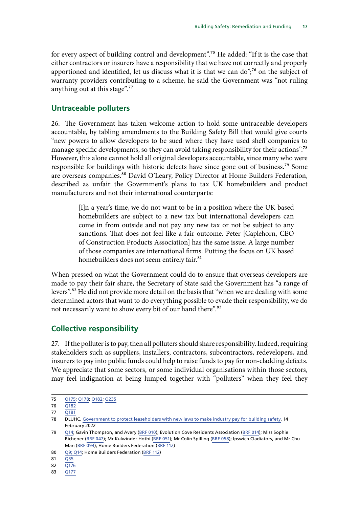<span id="page-20-0"></span>for every aspect of building control and development".<sup>75</sup> He added: "If it is the case that either contractors or insurers have a responsibility that we have not correctly and properly apportioned and identified, let us discuss what it is that we can do";<sup>76</sup> on the subject of warranty providers contributing to a scheme, he said the Government was "not ruling anything out at this stage".77

#### **Untraceable polluters**

26. The Government has taken welcome action to hold some untraceable developers accountable, by tabling amendments to the Building Safety Bill that would give courts "new powers to allow developers to be sued where they have used shell companies to manage specific developments, so they can avoid taking responsibility for their actions".<sup>78</sup> However, this alone cannot hold all original developers accountable, since many who were responsible for buildings with historic defects have since gone out of business.<sup>79</sup> Some are overseas companies.<sup>80</sup> David O'Leary, Policy Director at Home Builders Federation, described as unfair the Government's plans to tax UK homebuilders and product manufacturers and not their international counterparts:

> [I]n a year's time, we do not want to be in a position where the UK based homebuilders are subject to a new tax but international developers can come in from outside and not pay any new tax or not be subject to any sanctions. That does not feel like a fair outcome. Peter [Caplehorn, CEO of Construction Products Association] has the same issue. A large number of those companies are international firms. Putting the focus on UK based homebuilders does not seem entirely fair.<sup>81</sup>

When pressed on what the Government could do to ensure that overseas developers are made to pay their fair share, the Secretary of State said the Government has "a range of levers".82 He did not provide more detail on the basis that "when we are dealing with some determined actors that want to do everything possible to evade their responsibility, we do not necessarily want to show every bit of our hand there".<sup>83</sup>

#### **Collective responsibility**

27. If the polluter is to pay, then all polluters should share responsibility. Indeed, requiring stakeholders such as suppliers, installers, contractors, subcontractors, redevelopers, and insurers to pay into public funds could help to raise funds to pay for non-cladding defects. We appreciate that some sectors, or some individual organisations within those sectors, may feel indignation at being lumped together with "polluters" when they feel they

83 [Q177](https://committees.parliament.uk/oralevidence/3448/html/)

<sup>75</sup> [Q175;](https://committees.parliament.uk/oralevidence/3448/html/) [Q178;](https://committees.parliament.uk/oralevidence/3448/html/) [Q182](https://committees.parliament.uk/oralevidence/3448/html/); [Q235](https://committees.parliament.uk/oralevidence/3448/html/)

<sup>76</sup> [Q182](https://committees.parliament.uk/oralevidence/3448/html/)

<sup>77</sup> [Q181](https://committees.parliament.uk/oralevidence/3448/html/)

<sup>78</sup> DLUHC, [Government to protect leaseholders with new laws to make industry pay for building safety,](https://www.gov.uk/government/news/government-to-protect-leaseholders-with-new-laws-to-make-industry-pay-for-building-safety) 14 February 2022

<sup>79</sup> [Q14;](https://committees.parliament.uk/oralevidence/3354/html/) Gavin Thompson, and Avery ([BRF 010\)](https://committees.parliament.uk/writtenevidence/43188/html/); Evolution Cove Residents Association [\(BRF 014\)](https://committees.parliament.uk/writtenevidence/43355/html/); Miss Sophie Bichener ([BRF 047\)](https://committees.parliament.uk/writtenevidence/64325/html/); Mr Kulwinder Hothi [\(BRF 051\)](https://committees.parliament.uk/writtenevidence/86069/html/); Mr Colin Spilling ([BRF 058\)](https://committees.parliament.uk/writtenevidence/90500/html/); Ipswich Cladiators, and Mr Chu Man [\(BRF 094\)](https://committees.parliament.uk/writtenevidence/106266/html/); Home Builders Federation ([BRF 112\)](https://committees.parliament.uk/writtenevidence/106349/html/)

<sup>80</sup> [Q9; Q14;](https://committees.parliament.uk/oralevidence/3354/html/) Home Builders Federation ([BRF 112\)](https://committees.parliament.uk/writtenevidence/106349/html/)

<sup>81</sup> [Q55](https://committees.parliament.uk/oralevidence/3354/html/)

<sup>82</sup> [Q176](https://committees.parliament.uk/oralevidence/3448/html/)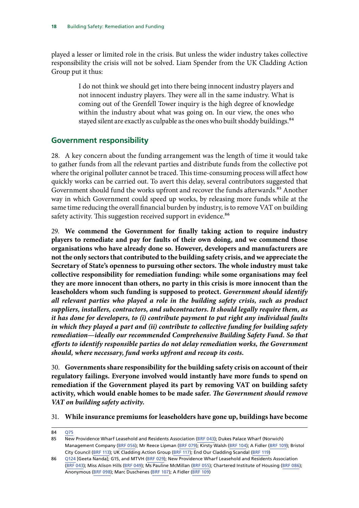<span id="page-21-0"></span>played a lesser or limited role in the crisis. But unless the wider industry takes collective responsibility the crisis will not be solved. Liam Spender from the UK Cladding Action Group put it thus:

> I do not think we should get into there being innocent industry players and not innocent industry players. They were all in the same industry. What is coming out of the Grenfell Tower inquiry is the high degree of knowledge within the industry about what was going on. In our view, the ones who stayed silent are exactly as culpable as the ones who built shoddy buildings.<sup>84</sup>

#### **Government responsibility**

28. A key concern about the funding arrangement was the length of time it would take to gather funds from all the relevant parties and distribute funds from the collective pot where the original polluter cannot be traced. This time-consuming process will affect how quickly works can be carried out. To avert this delay, several contributors suggested that Government should fund the works upfront and recover the funds afterwards.<sup>85</sup> Another way in which Government could speed up works, by releasing more funds while at the same time reducing the overall financial burden by industry, is to remove VAT on building safety activity. This suggestion received support in evidence.<sup>86</sup>

<span id="page-21-1"></span>29. **We commend the Government for finally taking action to require industry players to remediate and pay for faults of their own doing, and we commend those organisations who have already done so. However, developers and manufacturers are not the only sectors that contributed to the building safety crisis, and we appreciate the Secretary of State's openness to pursuing other sectors. The whole industry must take collective responsibility for remediation funding: while some organisations may feel they are more innocent than others, no party in this crisis is more innocent than the leaseholders whom such funding is supposed to protect.** *Government should identify all relevant parties who played a role in the building safety crisis, such as product suppliers, installers, contractors, and subcontractors. It should legally require them, as it has done for developers, to (i) contribute payment to put right any individual faults in which they played a part and (ii) contribute to collective funding for building safety remediation—ideally our recommended Comprehensive Building Safety Fund. So that efforts to identify responsible parties do not delay remediation works, the Government should, where necessary, fund works upfront and recoup its costs.*

<span id="page-21-2"></span>30. **Governments share responsibility for the building safety crisis on account of their regulatory failings. Everyone involved would instantly have more funds to spend on remediation if the Government played its part by removing VAT on building safety activity, which would enable homes to be made safer.** *The Government should remove VAT on building safety activity.*

31. **While insurance premiums for leaseholders have gone up, buildings have become** 

<sup>84</sup> [Q75](https://committees.parliament.uk/oralevidence/3354/html/)

<sup>85</sup> New Providence Wharf Leasehold and Residents Association [\(BRF 043\)](https://committees.parliament.uk/writtenevidence/58225/html/); Dukes Palace Wharf (Norwich) Management Company [\(BRF 056](https://committees.parliament.uk/writtenevidence/86076/html/)); Mr Reece Lipman [\(BRF 079](https://committees.parliament.uk/writtenevidence/106242/html/)); Kirsty Walsh ([BRF 104\)](https://committees.parliament.uk/writtenevidence/106276/html/); A Fidler [\(BRF 109](https://committees.parliament.uk/writtenevidence/106282/html/)); Bristol City Council ([BRF 113\)](https://committees.parliament.uk/writtenevidence/106350/html/); UK Cladding Action Group ([BRF 117\)](https://committees.parliament.uk/writtenevidence/106472/html/); End Our Cladding Scandal ([BRF 119\)](https://committees.parliament.uk/writtenevidence/106474/html/)

<sup>86</sup> [Q124](https://committees.parliament.uk/oralevidence/3363/html/) [Geeta Nanda]; G15, and MTVH [\(BRF 029](https://committees.parliament.uk/writtenevidence/43731/html/)); New Providence Wharf Leasehold and Residents Association [\(BRF 043](https://committees.parliament.uk/writtenevidence/58225/html/)); Miss Alison Hills [\(BRF 049\)](https://committees.parliament.uk/writtenevidence/81548/html/); Ms Pauline McMillan ([BRF 055\)](https://committees.parliament.uk/writtenevidence/86072/html/); Chartered Institute of Housing [\(BRF 086\)](https://committees.parliament.uk/writtenevidence/106255/html/); Anonymous ([BRF 098](https://committees.parliament.uk/writtenevidence/106270/html/)); Marc Duschenes [\(BRF 107](https://committees.parliament.uk/writtenevidence/106279/html/)); A Fidler ([BRF 109\)](https://committees.parliament.uk/writtenevidence/106282/html/)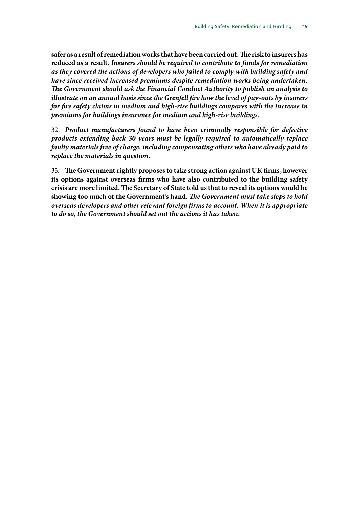<span id="page-22-0"></span>**safer as a result of remediation works that have been carried out. The risk to insurers has reduced as a result.** *Insurers should be required to contribute to funds for remediation as they covered the actions of developers who failed to comply with building safety and have since received increased premiums despite remediation works being undertaken. The Government should ask the Financial Conduct Authority to publish an analysis to illustrate on an annual basis since the Grenfell fire how the level of pay-outs by insurers for fire safety claims in medium and high-rise buildings compares with the increase in premiums for buildings insurance for medium and high-rise buildings.*

<span id="page-22-1"></span>32. *Product manufacturers found to have been criminally responsible for defective products extending back 30 years must be legally required to automatically replace faulty materials free of charge, including compensating others who have already paid to replace the materials in question.*

<span id="page-22-2"></span>33. **The Government rightly proposes to take strong action against UK firms, however its options against overseas firms who have also contributed to the building safety crisis are more limited. The Secretary of State told us that to reveal its options would be showing too much of the Government's hand.** *The Government must take steps to hold overseas developers and other relevant foreign firms to account. When it is appropriate to do so, the Government should set out the actions it has taken.*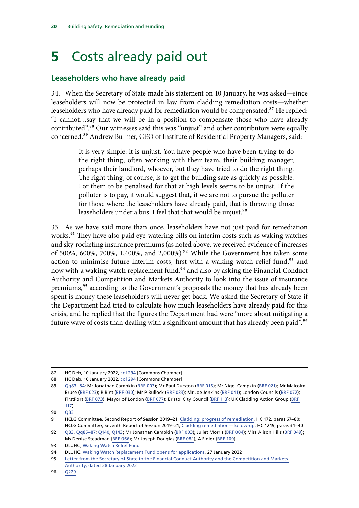# <span id="page-23-0"></span>**5** Costs already paid out

#### **Leaseholders who have already paid**

34. When the Secretary of State made his statement on 10 January, he was asked—since leaseholders will now be protected in law from cladding remediation costs—whether leaseholders who have already paid for remediation would be compensated.<sup>87</sup> He replied: "I cannot…say that we will be in a position to compensate those who have already contributed".<sup>88</sup> Our witnesses said this was "unjust" and other contributors were equally concerned.89 Andrew Bulmer, CEO of Institute of Residential Property Managers, said:

> It is very simple: it is unjust. You have people who have been trying to do the right thing, often working with their team, their building manager, perhaps their landlord, whoever, but they have tried to do the right thing. The right thing, of course, is to get the building safe as quickly as possible. For them to be penalised for that at high levels seems to be unjust. If the polluter is to pay, it would suggest that, if we are not to pursue the polluter for those where the leaseholders have already paid, that is throwing those leaseholders under a bus. I feel that that would be unjust.<sup>90</sup>

35. As we have said more than once, leaseholders have not just paid for remediation works.<sup>91</sup> They have also paid eye-watering bills on interim costs such as waking watches and sky-rocketing insurance premiums (as noted above, we received evidence of increases of 500%, 600%, 700%, 1,400%, and 2,000%).<sup>92</sup> While the Government has taken some action to minimise future interim costs, first with a waking watch relief fund, $93$  and now with a waking watch replacement fund,<sup>94</sup> and also by asking the Financial Conduct Authority and Competition and Markets Authority to look into the issue of insurance premiums,<sup>95</sup> according to the Government's proposals the money that has already been spent is money these leaseholders will never get back. We asked the Secretary of State if the Department had tried to calculate how much leaseholders have already paid for this crisis, and he replied that the figures the Department had were "more about mitigating a future wave of costs than dealing with a significant amount that has already been paid".<sup>96</sup>

<sup>87</sup> HC Deb, 10 January 2022, [col 294](https://hansard.parliament.uk/Commons/2022-01-10/debates/2B1490CB-A149-4E31-866E-B2C7DA5EE2F8/BuildingSafety) [Commons Chamber]

<sup>88</sup> HC Deb, 10 January 2022, [col 294](https://hansard.parliament.uk/Commons/2022-01-10/debates/2B1490CB-A149-4E31-866E-B2C7DA5EE2F8/BuildingSafety) [Commons Chamber]

<sup>89</sup> [Qq83–84](https://committees.parliament.uk/oralevidence/3354/html/); Mr Jonathan Campkin [\(BRF 003](about:blank)); Mr Paul Durston ([BRF 016\)](https://committees.parliament.uk/writtenevidence/43478/html/); Mr Nigel Campkin ([BRF 021\)](https://committees.parliament.uk/writtenevidence/43584/html/); Mr Malcolm Bruce [\(BRF 023](https://committees.parliament.uk/writtenevidence/43682/html/)); R Bint ([BRF 030\)](https://committees.parliament.uk/writtenevidence/43734/html/); Mr P Bullock [\(BRF 033](https://committees.parliament.uk/writtenevidence/43770/html/)); Mr Joe Jenkins ([BRF 041](https://committees.parliament.uk/writtenevidence/58211/html/)); London Councils ([BRF 072](https://committees.parliament.uk/writtenevidence/106227/html/)); FirstPort ([BRF 073\)](https://committees.parliament.uk/writtenevidence/106230/html/); Mayor of London ([BRF 077\)](https://committees.parliament.uk/writtenevidence/106240/html/); Bristol City Council [\(BRF 113](https://committees.parliament.uk/writtenevidence/106350/html/)); UK Cladding Action Group [\(BRF](https://committees.parliament.uk/writtenevidence/106472/html/)  [117\)](https://committees.parliament.uk/writtenevidence/106472/html/)

<sup>90</sup> [Q83](https://committees.parliament.uk/oralevidence/3354/html/)

<sup>91</sup> HCLG Committee, Second Report of Session 2019–21, [Cladding: progress of remediation](https://committees.parliament.uk/publications/5702/documents/56234/default/), HC 172, paras 67–80; HCLG Committee, Seventh Report of Session 2019–21, [Cladding remediation—follow-up,](https://publications.parliament.uk/pa/cm5801/cmselect/cmcomloc/1249/124902.htm) HC 1249, paras 34–40

<sup>92</sup> [Q83](https://committees.parliament.uk/oralevidence/3354/html/), [Qq85–87;](https://committees.parliament.uk/oralevidence/3354/html/) [Q140](https://committees.parliament.uk/oralevidence/3363/html/); [Q143;](https://committees.parliament.uk/oralevidence/3363/html/) Mr Jonathan Campkin ([BRF 003\)](https://committees.parliament.uk/writtenevidence/43034/html/); Juliet Morris [\(BRF 004\)](https://committees.parliament.uk/writtenevidence/43075/html/); Miss Alison Hills ([BRF 049\)](https://committees.parliament.uk/writtenevidence/81548/html/); Ms Denise Steadman [\(BRF 066\)](https://committees.parliament.uk/writtenevidence/106211/html/); Mr Joseph Douglas ([BRF 081](https://committees.parliament.uk/writtenevidence/106245/html/)); A Fidler [\(BRF 109](https://committees.parliament.uk/writtenevidence/106282/html/))

<sup>93</sup> DLUHC, [Waking Watch Relief Fund](https://www.gov.uk/guidance/waking-watch-relief-fund)

<sup>94</sup> DLUHC, [Waking Watch Replacement Fund opens for applications,](https://www.gov.uk/government/news/waking-watch-replacement-fund-opens-for-applications) 27 January 2022

<sup>95</sup> [Letter from the Secretary of State to the Financial Conduct Authority and the Competition and Markets](https://assets.publishing.service.gov.uk/government/uploads/system/uploads/attachment_data/file/1050940/28-01-22_Letter_from_DLUHC_SoS_to_CMA__FCA_Chief_Executives.pdf)  [Authority, dated 28 January 2022](https://assets.publishing.service.gov.uk/government/uploads/system/uploads/attachment_data/file/1050940/28-01-22_Letter_from_DLUHC_SoS_to_CMA__FCA_Chief_Executives.pdf)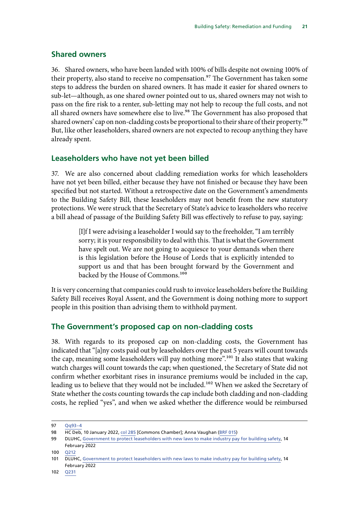#### <span id="page-24-0"></span>**Shared owners**

36. Shared owners, who have been landed with 100% of bills despite not owning 100% of their property, also stand to receive no compensation.<sup>97</sup> The Government has taken some steps to address the burden on shared owners. It has made it easier for shared owners to sub-let—although, as one shared owner pointed out to us, shared owners may not wish to pass on the fire risk to a renter, sub-letting may not help to recoup the full costs, and not all shared owners have somewhere else to live.<sup>98</sup> The Government has also proposed that shared owners' cap on non-cladding costs be proportional to their share of their property.<sup>99</sup> But, like other leaseholders, shared owners are not expected to recoup anything they have already spent.

#### **Leaseholders who have not yet been billed**

37. We are also concerned about cladding remediation works for which leaseholders have not yet been billed, either because they have not finished or because they have been specified but not started. Without a retrospective date on the Government's amendments to the Building Safety Bill, these leaseholders may not benefit from the new statutory protections. We were struck that the Secretary of State's advice to leaseholders who receive a bill ahead of passage of the Building Safety Bill was effectively to refuse to pay, saying:

> [I]f I were advising a leaseholder I would say to the freeholder, "I am terribly sorry; it is your responsibility to deal with this. That is what the Government have spelt out. We are not going to acquiesce to your demands when there is this legislation before the House of Lords that is explicitly intended to support us and that has been brought forward by the Government and backed by the House of Commons.<sup>100</sup>

It is very concerning that companies could rush to invoice leaseholders before the Building Safety Bill receives Royal Assent, and the Government is doing nothing more to support people in this position than advising them to withhold payment.

#### **The Government's proposed cap on non-cladding costs**

38. With regards to its proposed cap on non-cladding costs, the Government has indicated that "[a]ny costs paid out by leaseholders over the past 5 years will count towards the cap, meaning some leaseholders will pay nothing more".<sup>101</sup> It also states that waking watch charges will count towards the cap; when questioned, the Secretary of State did not confirm whether exorbitant rises in insurance premiums would be included in the cap, leading us to believe that they would not be included.<sup>102</sup> When we asked the Secretary of State whether the costs counting towards the cap include both cladding and non-cladding costs, he replied "yes", and when we asked whether the difference would be reimbursed

<sup>97</sup> [Qq93–4](https://committees.parliament.uk/oralevidence/3354/html/)

<sup>98</sup> HC Deb, 10 January 2022, [col 285](https://hansard.parliament.uk/Commons/2022-01-10/debates/2B1490CB-A149-4E31-866E-B2C7DA5EE2F8/BuildingSafety) [Commons Chamber]; Anna Vaughan ([BRF 015\)](https://committees.parliament.uk/writtenevidence/43476/html/)

<sup>99</sup> DLUHC, [Government to protect leaseholders with new laws to make industry pay for building safety,](https://www.gov.uk/government/news/government-to-protect-leaseholders-with-new-laws-to-make-industry-pay-for-building-safety) 14 February 2022

<sup>100</sup> [Q212](https://committees.parliament.uk/oralevidence/3448/html/)

<sup>101</sup> DLUHC, [Government to protect leaseholders with new laws to make industry pay for building safety,](https://www.gov.uk/government/news/government-to-protect-leaseholders-with-new-laws-to-make-industry-pay-for-building-safety) 14 February 2022

<sup>102</sup> [Q231](https://committees.parliament.uk/oralevidence/3448/html/)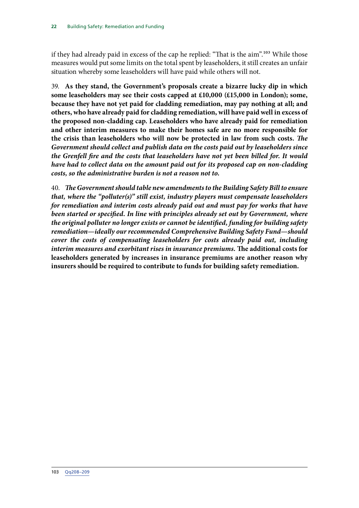if they had already paid in excess of the cap he replied: "That is the aim".103 While those measures would put some limits on the total spent by leaseholders, it still creates an unfair situation whereby some leaseholders will have paid while others will not.

<span id="page-25-0"></span>39. **As they stand, the Government's proposals create a bizarre lucky dip in which some leaseholders may see their costs capped at £10,000 (£15,000 in London); some, because they have not yet paid for cladding remediation, may pay nothing at all; and others, who have already paid for cladding remediation, will have paid well in excess of the proposed non-cladding cap. Leaseholders who have already paid for remediation and other interim measures to make their homes safe are no more responsible for the crisis than leaseholders who will now be protected in law from such costs.** *The Government should collect and publish data on the costs paid out by leaseholders since the Grenfell fire and the costs that leaseholders have not yet been billed for. It would have had to collect data on the amount paid out for its proposed cap on non-cladding costs, so the administrative burden is not a reason not to.*

<span id="page-25-1"></span>40. *The Government should table new amendments to the Building Safety Bill to ensure that, where the "polluter(s)" still exist, industry players must compensate leaseholders for remediation and interim costs already paid out and must pay for works that have been started or specified. In line with principles already set out by Government, where the original polluter no longer exists or cannot be identified, funding for building safety remediation—ideally our recommended Comprehensive Building Safety Fund—should cover the costs of compensating leaseholders for costs already paid out, including interim measures and exorbitant rises in insurance premiums.* **The additional costs for leaseholders generated by increases in insurance premiums are another reason why insurers should be required to contribute to funds for building safety remediation.**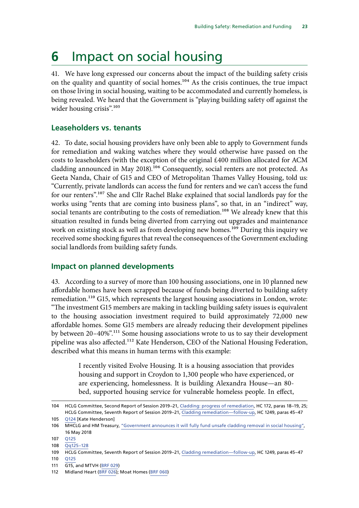### <span id="page-26-0"></span>**6** Impact on social housing

41. We have long expressed our concerns about the impact of the building safety crisis on the quality and quantity of social homes.<sup>104</sup> As the crisis continues, the true impact on those living in social housing, waiting to be accommodated and currently homeless, is being revealed. We heard that the Government is "playing building safety off against the wider housing crisis".<sup>105</sup>

#### **Leaseholders vs. tenants**

42. To date, social housing providers have only been able to apply to Government funds for remediation and waking watches where they would otherwise have passed on the costs to leaseholders (with the exception of the original £400 million allocated for ACM cladding announced in May 2018).<sup>106</sup> Consequently, social renters are not protected. As Geeta Nanda, Chair of G15 and CEO of Metropolitan Thames Valley Housing, told us: "Currently, private landlords can access the fund for renters and we can't access the fund for our renters".<sup>107</sup> She and Cllr Rachel Blake explained that social landlords pay for the works using "rents that are coming into business plans", so that, in an "indirect" way, social tenants are contributing to the costs of remediation.<sup>108</sup> We already knew that this situation resulted in funds being diverted from carrying out upgrades and maintenance work on existing stock as well as from developing new homes.<sup>109</sup> During this inquiry we received some shocking figures that reveal the consequences of the Government excluding social landlords from building safety funds.

#### **Impact on planned developments**

43. According to a survey of more than 100 housing associations, one in 10 planned new affordable homes have been scrapped because of funds being diverted to building safety remediation.<sup>110</sup> G15, which represents the largest housing associations in London, wrote: "The investment G15 members are making in tackling building safety issues is equivalent to the housing association investment required to build approximately 72,000 new affordable homes. Some G15 members are already reducing their development pipelines by between 20–40%".<sup>111</sup> Some housing associations wrote to us to say their development pipeline was also affected.<sup>112</sup> Kate Henderson, CEO of the National Housing Federation, described what this means in human terms with this example:

> I recently visited Evolve Housing. It is a housing association that provides housing and support in Croydon to 1,300 people who have experienced, or are experiencing, homelessness. It is building Alexandra House—an 80 bed, supported housing service for vulnerable homeless people. In effect,

<sup>104</sup> HCLG Committee, Second Report of Session 2019–21, [Cladding: progress of remediation,](https://committees.parliament.uk/publications/5702/documents/56234/default/) HC 172, paras 18–19, 25; HCLG Committee, Seventh Report of Session 2019–21, [Cladding remediation—follow-up,](https://publications.parliament.uk/pa/cm5801/cmselect/cmcomloc/1249/124902.htm) HC 1249, paras 45–47

<sup>105</sup> [Q124](https://committees.parliament.uk/oralevidence/3363/html/) [Kate Henderson]

<sup>106</sup> MHCLG and HM Treasury, ["Government announces it will fully fund unsafe cladding removal in social housing",](https://www.gov.uk/government/news/government-announces-it-will-fully-fund-unsafe-cladding-removal-in-social-housing) 16 May 2018

<sup>107</sup> [Q125](https://committees.parliament.uk/oralevidence/3363/html/)

<sup>108</sup> [Qq125–128](https://committees.parliament.uk/oralevidence/3363/html/)

<sup>109</sup> HCLG Committee, Seventh Report of Session 2019–21, [Cladding remediation—follow-up,](https://publications.parliament.uk/pa/cm5801/cmselect/cmcomloc/1249/124902.htm) HC 1249, paras 45–47

<sup>110</sup> [Q125](https://committees.parliament.uk/oralevidence/3363/html/)

<sup>111</sup> G15, and MTVH [\(BRF 029](https://committees.parliament.uk/writtenevidence/43731/html/))

<sup>112</sup> Midland Heart [\(BRF 026](https://committees.parliament.uk/writtenevidence/43718/html/)); Moat Homes [\(BRF 060\)](https://committees.parliament.uk/writtenevidence/106204/html/)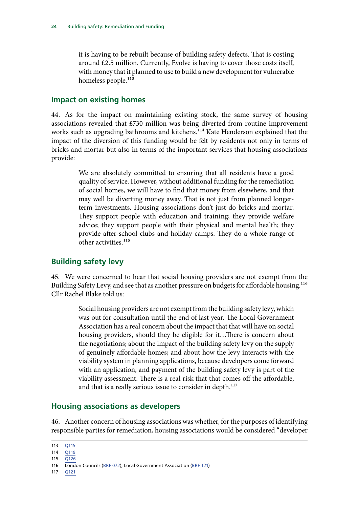<span id="page-27-0"></span>it is having to be rebuilt because of building safety defects. That is costing around  $£2.5$  million. Currently, Evolve is having to cover those costs itself, with money that it planned to use to build a new development for vulnerable homeless people.<sup>113</sup>

#### **Impact on existing homes**

44. As for the impact on maintaining existing stock, the same survey of housing associations revealed that £730 million was being diverted from routine improvement works such as upgrading bathrooms and kitchens.<sup>114</sup> Kate Henderson explained that the impact of the diversion of this funding would be felt by residents not only in terms of bricks and mortar but also in terms of the important services that housing associations provide:

> We are absolutely committed to ensuring that all residents have a good quality of service. However, without additional funding for the remediation of social homes, we will have to find that money from elsewhere, and that may well be diverting money away. That is not just from planned longerterm investments. Housing associations don't just do bricks and mortar. They support people with education and training; they provide welfare advice; they support people with their physical and mental health; they provide after-school clubs and holiday camps. They do a whole range of other activities.115

#### **Building safety levy**

45. We were concerned to hear that social housing providers are not exempt from the Building Safety Levy, and see that as another pressure on budgets for affordable housing.<sup>116</sup> Cllr Rachel Blake told us:

> Social housing providers are not exempt from the building safety levy, which was out for consultation until the end of last year. The Local Government Association has a real concern about the impact that that will have on social housing providers, should they be eligible for it…There is concern about the negotiations; about the impact of the building safety levy on the supply of genuinely affordable homes; and about how the levy interacts with the viability system in planning applications, because developers come forward with an application, and payment of the building safety levy is part of the viability assessment. There is a real risk that that comes off the affordable, and that is a really serious issue to consider in depth.<sup>117</sup>

#### **Housing associations as developers**

46. Another concern of housing associations was whether, for the purposes of identifying responsible parties for remediation, housing associations would be considered "developer

117 [Q121](https://committees.parliament.uk/oralevidence/3363/html/)

<sup>113</sup> [Q115](https://committees.parliament.uk/oralevidence/3363/html/)

<sup>114</sup>  $\overline{O119}$ 

<sup>115</sup> [Q126](https://committees.parliament.uk/oralevidence/3363/html/)

<sup>116</sup> London Councils [\(BRF 072\)](https://committees.parliament.uk/writtenevidence/106227/html/); Local Government Association ([BRF 121\)](https://committees.parliament.uk/writtenevidence/106486/html/)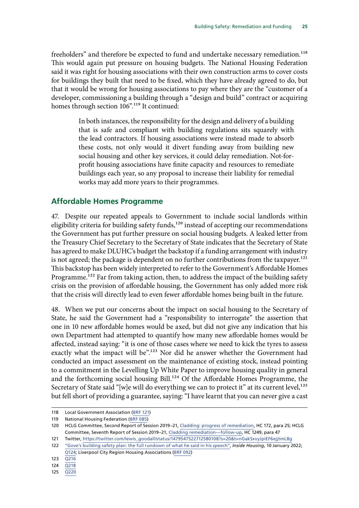<span id="page-28-0"></span>freeholders" and therefore be expected to fund and undertake necessary remediation.<sup>118</sup> This would again put pressure on housing budgets. The National Housing Federation said it was right for housing associations with their own construction arms to cover costs for buildings they built that need to be fixed, which they have already agreed to do, but that it would be wrong for housing associations to pay where they are the "customer of a developer, commissioning a building through a "design and build" contract or acquiring homes through section 106".<sup>119</sup> It continued:

> In both instances, the responsibility for the design and delivery of a building that is safe and compliant with building regulations sits squarely with the lead contractors. If housing associations were instead made to absorb these costs, not only would it divert funding away from building new social housing and other key services, it could delay remediation. Not-forprofit housing associations have finite capacity and resources to remediate buildings each year, so any proposal to increase their liability for remedial works may add more years to their programmes.

#### **Affordable Homes Programme**

47. Despite our repeated appeals to Government to include social landlords within eligibility criteria for building safety funds,<sup>120</sup> instead of accepting our recommendations the Government has put further pressure on social housing budgets. A leaked letter from the Treasury Chief Secretary to the Secretary of State indicates that the Secretary of State has agreed to make DLUHC's budget the backstop if a funding arrangement with industry is not agreed; the package is dependent on no further contributions from the taxpayer.<sup>121</sup> This backstop has been widely interpreted to refer to the Government's Affordable Homes Programme.<sup>122</sup> Far from taking action, then, to address the impact of the building safety crisis on the provision of affordable housing, the Government has only added more risk that the crisis will directly lead to even fewer affordable homes being built in the future.

48. When we put our concerns about the impact on social housing to the Secretary of State, he said the Government had a "responsibility to interrogate" the assertion that one in 10 new affordable homes would be axed, but did not give any indication that his own Department had attempted to quantify how many new affordable homes would be affected, instead saying: "it is one of those cases where we need to kick the tyres to assess exactly what the impact will be".<sup>123</sup> Nor did he answer whether the Government had conducted an impact assessment on the maintenance of existing stock, instead pointing to a commitment in the Levelling Up White Paper to improve housing quality in general and the forthcoming social housing Bill.<sup>124</sup> Of the Affordable Homes Programme, the Secretary of State said "[w]e will do everything we can to protect it" at its current level,  $^{125}$ but fell short of providing a guarantee, saying: "I have learnt that you can never give a cast

<sup>118</sup> Local Government Association ([BRF 121\)](https://committees.parliament.uk/writtenevidence/106486/html/)

<sup>119</sup> National Housing Federation ([BRF 085\)](https://committees.parliament.uk/writtenevidence/106253/html/)

<sup>120</sup> HCLG Committee, Second Report of Session 2019–21, [Cladding: progress of remediation](https://committees.parliament.uk/publications/5702/documents/56234/default/), HC 172, para 25; HCLG Committee, Seventh Report of Session 2019–21, [Cladding remediation—follow-up](https://publications.parliament.uk/pa/cm5801/cmselect/cmcomloc/1249/124902.htm), HC 1249, para 47

<sup>121</sup> Twitter, [https://twitter.com/lewis\\_goodall/status/1479547522712580108?s=20&t=nGakSxvyJpiEF6ejjtmL8g](https://twitter.com/lewis_goodall/status/1479547522712580108?s=20&t=nGakSxvyJpiEF6ejjtmL8g)

<sup>122</sup> ["Gove's building safety plan: the full rundown of what he said in his speech"](https://www.insidehousing.co.uk/insight/goves-building-safety-plan-the-full-rundown-of-what-he-said-in-his-speech-73887), *Inside Housing*, 10 January 2022; [Q124;](https://committees.parliament.uk/oralevidence/3363/html/) Liverpool City Region Housing Associations ([BRF 092\)](https://committees.parliament.uk/writtenevidence/106263/html/)

<sup>123</sup> [Q216](https://committees.parliament.uk/oralevidence/3448/html/)

<sup>124</sup> [Q218](https://committees.parliament.uk/oralevidence/3448/html/)

<sup>125</sup> [Q220](https://committees.parliament.uk/oralevidence/3448/html/)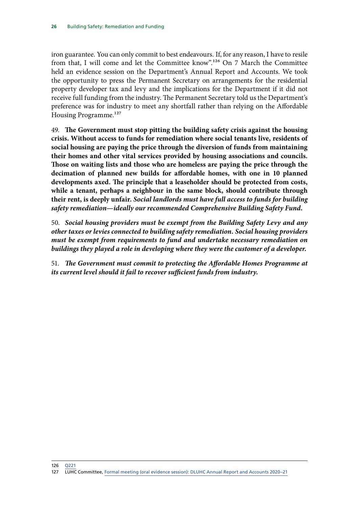iron guarantee. You can only commit to best endeavours. If, for any reason, I have to resile from that, I will come and let the Committee know".126 On 7 March the Committee held an evidence session on the Department's Annual Report and Accounts. We took the opportunity to press the Permanent Secretary on arrangements for the residential property developer tax and levy and the implications for the Department if it did not receive full funding from the industry. The Permanent Secretary told us the Department's preference was for industry to meet any shortfall rather than relying on the Affordable Housing Programme.<sup>127</sup>

49. **The Government must stop pitting the building safety crisis against the housing crisis. Without access to funds for remediation where social tenants live, residents of social housing are paying the price through the diversion of funds from maintaining their homes and other vital services provided by housing associations and councils. Those on waiting lists and those who are homeless are paying the price through the decimation of planned new builds for affordable homes, with one in 10 planned developments axed. The principle that a leaseholder should be protected from costs, while a tenant, perhaps a neighbour in the same block, should contribute through their rent, is deeply unfair.** *Social landlords must have full access to funds for building safety remediation—ideally our recommended Comprehensive Building Safety Fund.*

<span id="page-29-1"></span><span id="page-29-0"></span>50. *Social housing providers must be exempt from the Building Safety Levy and any other taxes or levies connected to building safety remediation. Social housing providers must be exempt from requirements to fund and undertake necessary remediation on buildings they played a role in developing where they were the customer of a developer.*

<span id="page-29-2"></span>51. *The Government must commit to protecting the Affordable Homes Programme at its current level should it fail to recover sufficient funds from industry.*

```
126 Q221
127 LUHC Committee, Formal meeting (oral evidence session): DLUHC Annual Report and Accounts 2020–21
```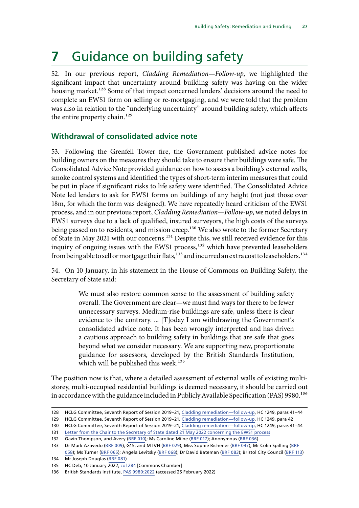# <span id="page-30-0"></span>**7** Guidance on building safety

52. In our previous report, *Cladding Remediation—Follow-up*, we highlighted the significant impact that uncertainty around building safety was having on the wider housing market.<sup>128</sup> Some of that impact concerned lenders' decisions around the need to complete an EWS1 form on selling or re-mortgaging, and we were told that the problem was also in relation to the "underlying uncertainty" around building safety, which affects the entire property chain.<sup>129</sup>

#### **Withdrawal of consolidated advice note**

53. Following the Grenfell Tower fire, the Government published advice notes for building owners on the measures they should take to ensure their buildings were safe. The Consolidated Advice Note provided guidance on how to assess a building's external walls, smoke control systems and identified the types of short-term interim measures that could be put in place if significant risks to life safety were identified. The Consolidated Advice Note led lenders to ask for EWS1 forms on buildings of any height (not just those over 18m, for which the form was designed). We have repeatedly heard criticism of the EWS1 process, and in our previous report, *Cladding Remediation—Follow-up*, we noted delays in EWS1 surveys due to a lack of qualified, insured surveyors, the high costs of the surveys being passed on to residents, and mission creep.<sup>130</sup> We also wrote to the former Secretary of State in May 2021 with our concerns.<sup>131</sup> Despite this, we still received evidence for this inquiry of ongoing issues with the EWS1 process,<sup>132</sup> which have prevented leaseholders from being able to sell or mortgage their flats,<sup>133</sup> and incurred an extra cost to leaseholders.<sup>134</sup>

54. On 10 January, in his statement in the House of Commons on Building Safety, the Secretary of State said:

> We must also restore common sense to the assessment of building safety overall. The Government are clear—we must find ways for there to be fewer unnecessary surveys. Medium-rise buildings are safe, unless there is clear evidence to the contrary. ... [T]oday I am withdrawing the Government's consolidated advice note. It has been wrongly interpreted and has driven a cautious approach to building safety in buildings that are safe that goes beyond what we consider necessary. We are supporting new, proportionate guidance for assessors, developed by the British Standards Institution, which will be published this week.<sup>135</sup>

The position now is that, where a detailed assessment of external walls of existing multistorey, multi-occupied residential buildings is deemed necessary, it should be carried out in accordance with the guidance included in Publicly Available Specification (PAS) 9980.<sup>136</sup>

<sup>128</sup> HCLG Committee, Seventh Report of Session 2019–21, [Cladding remediation—follow-up,](https://publications.parliament.uk/pa/cm5801/cmselect/cmcomloc/1249/124902.htm) HC 1249, paras 41–44

<sup>129</sup> HCLG Committee, Seventh Report of Session 2019–21, [Cladding remediation—follow-up,](https://publications.parliament.uk/pa/cm5801/cmselect/cmcomloc/1249/124902.htm) HC 1249, para 42

<sup>130</sup> HCLG Committee, Seventh Report of Session 2019–21, [Cladding remediation—follow-up,](https://publications.parliament.uk/pa/cm5801/cmselect/cmcomloc/1249/124902.htm) HC 1249, paras 41–44

<sup>131</sup> [Letter from the Chair to the Secretary of State dated 21 May 2022 concerning the EWS1 process](https://committees.parliament.uk/publications/5990/documents/67920/default/)

<sup>132</sup> Gavin Thompson, and Avery ([BRF 010\)](https://committees.parliament.uk/writtenevidence/43188/html/); Ms Caroline Milne [\(BRF 017\)](https://committees.parliament.uk/writtenevidence/43480/html/); Anonymous ([BRF 036](https://committees.parliament.uk/writtenevidence/43803/html/))

<sup>133</sup> Dr Mark Azavedo ([BRF 009](https://committees.parliament.uk/writtenevidence/43186/html/)); G15, and MTVH [\(BRF 029](https://committees.parliament.uk/writtenevidence/43731/html/)); Miss Sophie Bichener ([BRF 047\)](https://committees.parliament.uk/writtenevidence/64325/html/); Mr Colin Spilling ([BRF](https://committees.parliament.uk/writtenevidence/90500/html/)  [058\)](https://committees.parliament.uk/writtenevidence/90500/html/); Ms Turner ([BRF 065\)](https://committees.parliament.uk/writtenevidence/106210/html/); Angela Levitsky [\(BRF 068\)](https://committees.parliament.uk/writtenevidence/106217/html/); Dr David Bateman ([BRF 083](https://committees.parliament.uk/writtenevidence/106249/html/)); Bristol City Council [\(BRF 113](https://committees.parliament.uk/writtenevidence/106350/html/))

<sup>134</sup> Mr Joseph Douglas [\(BRF 081\)](https://committees.parliament.uk/writtenevidence/106245/html/)

<sup>135</sup> HC Deb, 10 January 2022, [col 284](https://hansard.parliament.uk/Commons/2022-01-10/debates/2B1490CB-A149-4E31-866E-B2C7DA5EE2F8/BuildingSafety) [Commons Chamber]

<sup>136</sup> British Standards Institute, [PAS 9980:2022](https://www.bsigroup.com/en-GB/standards/pas-9980/) (accessed 25 February 2022)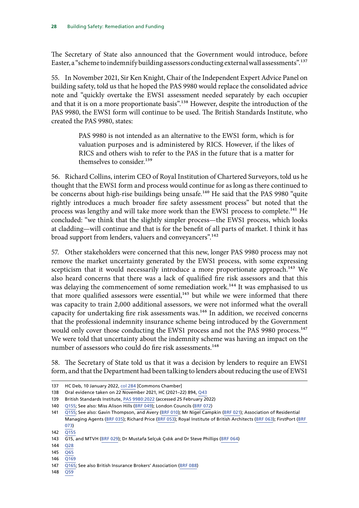The Secretary of State also announced that the Government would introduce, before Easter, a "scheme to indemnify building assessors conducting external wall assessments".137

55. In November 2021, Sir Ken Knight, Chair of the Independent Expert Advice Panel on building safety, told us that he hoped the PAS 9980 would replace the consolidated advice note and "quickly overtake the EWS1 assessment needed separately by each occupier and that it is on a more proportionate basis".<sup>138</sup> However, despite the introduction of the PAS 9980, the EWS1 form will continue to be used. The British Standards Institute, who created the PAS 9980, states:

> PAS 9980 is not intended as an alternative to the EWS1 form, which is for valuation purposes and is administered by RICS. However, if the likes of RICS and others wish to refer to the PAS in the future that is a matter for themselves to consider.<sup>139</sup>

56. Richard Collins, interim CEO of Royal Institution of Chartered Surveyors, told us he thought that the EWS1 form and process would continue for as long as there continued to be concerns about high-rise buildings being unsafe.<sup>140</sup> He said that the PAS 9980 "quite rightly introduces a much broader fire safety assessment process" but noted that the process was lengthy and will take more work than the EWS1 process to complete.<sup>141</sup> He concluded: "we think that the slightly simpler process—the EWS1 process, which looks at cladding—will continue and that is for the benefit of all parts of market. I think it has broad support from lenders, valuers and conveyancers".142

57. Other stakeholders were concerned that this new, longer PAS 9980 process may not remove the market uncertainty generated by the EWS1 process, with some expressing scepticism that it would necessarily introduce a more proportionate approach.<sup>143</sup> We also heard concerns that there was a lack of qualified fire risk assessors and that this was delaying the commencement of some remediation work.<sup>144</sup> It was emphasised to us that more qualified assessors were essential,<sup>145</sup> but while we were informed that there was capacity to train 2,000 additional assessors, we were not informed what the overall capacity for undertaking fire risk assessments was.<sup>146</sup> In addition, we received concerns that the professional indemnity insurance scheme being introduced by the Government would only cover those conducting the EWS1 process and not the PAS 9980 process.<sup>147</sup> We were told that uncertainty about the indemnity scheme was having an impact on the number of assessors who could do fire risk assessments.<sup>148</sup>

58. The Secretary of State told us that it was a decision by lenders to require an EWS1 form, and that the Department had been talking to lenders about reducing the use of EWS1

148 [Q59](https://committees.parliament.uk/oralevidence/3363/html/)

<sup>137</sup> HC Deb, 10 January 2022, [col 284](https://hansard.parliament.uk/Commons/2022-01-10/debates/2B1490CB-A149-4E31-866E-B2C7DA5EE2F8/BuildingSafety) [Commons Chamber]

<sup>138</sup> Oral evidence taken on 22 November 2021, HC (2021–22) 894, [Q43](https://committees.parliament.uk/oralevidence/3055/html/)

<sup>139</sup> British Standards Institute, [PAS 9980:2022](https://www.bsigroup.com/en-GB/standards/pas-9980/) (accessed 25 February 2022)

<sup>140</sup> [Q155;](https://committees.parliament.uk/oralevidence/3363/html/) See also: Miss Alison Hills ([BRF 049](https://committees.parliament.uk/writtenevidence/81548/html/)); London Councils [\(BRF 072\)](https://committees.parliament.uk/writtenevidence/106227/html/)

<sup>141</sup> [Q155;](https://committees.parliament.uk/oralevidence/3363/html/) See also: Gavin Thompson, and Avery ([BRF 010](https://committees.parliament.uk/writtenevidence/43188/html/)); Mr Nigel Campkin [\(BRF 021\)](https://committees.parliament.uk/writtenevidence/43584/html/); Association of Residential Managing Agents [\(BRF 035](https://committees.parliament.uk/writtenevidence/43789/html/)); Richard Price [\(BRF 053](https://committees.parliament.uk/writtenevidence/86070/html/)); Royal Institute of British Architects ([BRF 063\)](https://committees.parliament.uk/writtenevidence/106208/html/); FirstPort [\(BRF](https://committees.parliament.uk/writtenevidence/106230/html/)  [073](https://committees.parliament.uk/writtenevidence/106230/html/))

 $142 \overline{0155}$ 

<sup>143</sup> G15, and MTVH [\(BRF 029](https://committees.parliament.uk/writtenevidence/43731/html/)); Dr Mustafa Selçuk Çıdık and Dr Steve Phillips ([BRF 064](https://committees.parliament.uk/writtenevidence/106209/html/))

<sup>144</sup> [Q28](https://committees.parliament.uk/oralevidence/3354/html/)

 $145 \overline{065}$ 

<sup>146</sup> [Q169](https://committees.parliament.uk/oralevidence/3363/html/)

<sup>147</sup> [Q165;](https://committees.parliament.uk/oralevidence/3363/html/) See also British Insurance Brokers' Association [\(BRF 088\)](https://committees.parliament.uk/writtenevidence/106257/html/)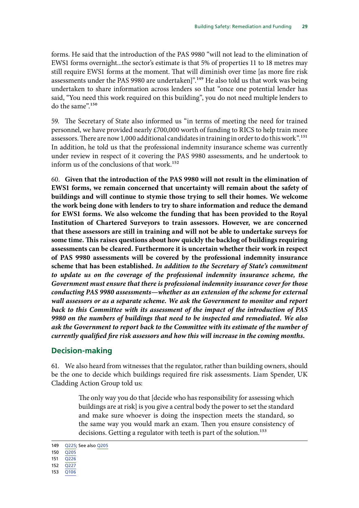<span id="page-32-0"></span>forms. He said that the introduction of the PAS 9980 "will not lead to the elimination of EWS1 forms overnight...the sector's estimate is that 5% of properties 11 to 18 metres may still require EWS1 forms at the moment. That will diminish over time [as more fire risk assessments under the PAS 9980 are undertaken]".<sup>149</sup> He also told us that work was being undertaken to share information across lenders so that "once one potential lender has said, "You need this work required on this building", you do not need multiple lenders to do the same".150

59. The Secretary of State also informed us "in terms of meeting the need for trained personnel, we have provided nearly £700,000 worth of funding to RICS to help train more assessors. There are now 1,000 additional candidates in training in order to do this work".151 In addition, he told us that the professional indemnity insurance scheme was currently under review in respect of it covering the PAS 9980 assessments, and he undertook to inform us of the conclusions of that work.<sup>152</sup>

<span id="page-32-1"></span>60. **Given that the introduction of the PAS 9980 will not result in the elimination of EWS1 forms, we remain concerned that uncertainty will remain about the safety of buildings and will continue to stymie those trying to sell their homes. We welcome the work being done with lenders to try to share information and reduce the demand for EWS1 forms. We also welcome the funding that has been provided to the Royal Institution of Chartered Surveyors to train assessors. However, we are concerned that these assessors are still in training and will not be able to undertake surveys for some time. This raises questions about how quickly the backlog of buildings requiring assessments can be cleared. Furthermore it is uncertain whether their work in respect of PAS 9980 assessments will be covered by the professional indemnity insurance scheme that has been established.** *In addition to the Secretary of State's commitment*  to update us on the coverage of the professional indemnity insurance scheme, the *Government must ensure that there is professional indemnity insurance cover for those conducting PAS 9980 assessments—whether as an extension of the scheme for external wall assessors or as a separate scheme. We ask the Government to monitor and report back to this Committee with its assessment of the impact of the introduction of PAS 9980 on the numbers of buildings that need to be inspected and remediated. We also*  ask the Government to report back to the Committee with its estimate of the number of *currently qualified fire risk assessors and how this will increase in the coming months.*

#### **Decision-making**

61. We also heard from witnesses that the regulator, rather than building owners, should be the one to decide which buildings required fire risk assessments. Liam Spender, UK Cladding Action Group told us:

> The only way you do that [decide who has responsibility for assessing which buildings are at risk] is you give a central body the power to set the standard and make sure whoever is doing the inspection meets the standard, so the same way you would mark an exam. Then you ensure consistency of decisions. Getting a regulator with teeth is part of the solution.<sup>153</sup>

<sup>149</sup> [Q225](https://committees.parliament.uk/oralevidence/3448/html/); See also [Q205](https://committees.parliament.uk/oralevidence/3448/html/)

<sup>150</sup> [Q205](https://committees.parliament.uk/oralevidence/3448/html/)

<sup>151</sup> [Q226](https://committees.parliament.uk/oralevidence/3448/html/)

<sup>152</sup> [Q227](https://committees.parliament.uk/oralevidence/3448/html/)

<sup>153</sup> [Q106](https://committees.parliament.uk/oralevidence/3354/html/)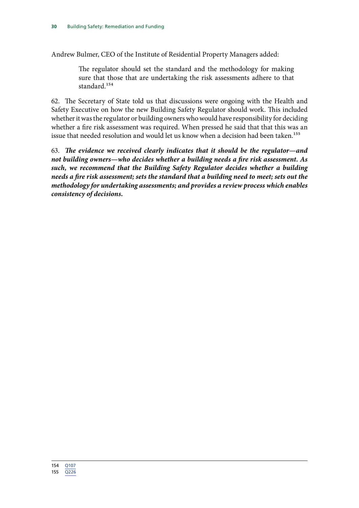Andrew Bulmer, CEO of the Institute of Residential Property Managers added:

The regulator should set the standard and the methodology for making sure that those that are undertaking the risk assessments adhere to that standard.<sup>154</sup>

62. The Secretary of State told us that discussions were ongoing with the Health and Safety Executive on how the new Building Safety Regulator should work. This included whether it was the regulator or building owners who would have responsibility for deciding whether a fire risk assessment was required. When pressed he said that that this was an issue that needed resolution and would let us know when a decision had been taken.<sup>155</sup>

<span id="page-33-0"></span>63. *The evidence we received clearly indicates that it should be the regulator—and not building owners—who decides whether a building needs a fire risk assessment. As such, we recommend that the Building Safety Regulator decides whether a building needs a fire risk assessment; sets the standard that a building need to meet; sets out the methodology for undertaking assessments; and provides a review process which enables consistency of decisions.*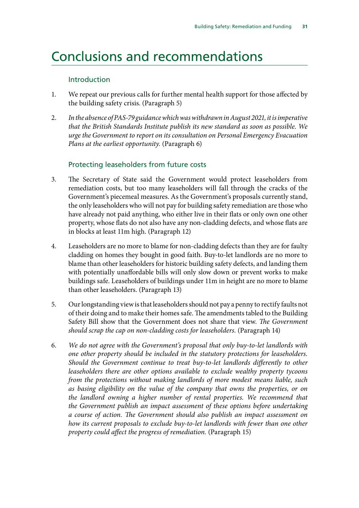### <span id="page-34-0"></span>Conclusions and recommendations

#### Introduction

- 1. [We repeat our previous calls for further mental health support for those affected by](#page-11-0) [the building safety crisis.](#page-11-0) (Paragraph 5)
- 2. *[In the absence of PAS-79 guidance which was withdrawn in August 2021, it is imperative](#page-11-1) [that the British Standards Institute publish its new standard as soon as possible. We](#page-11-1) [urge the Government to report on its consultation on Personal Emergency Evacuation](#page-11-1) [Plans at the earliest opportunity.](#page-11-1)* (Paragraph 6)

#### Protecting leaseholders from future costs

- 3. [The Secretary of State said the Government would protect leaseholders from](#page-14-1) [remediation costs, but too many leaseholders will fall through the cracks of the](#page-14-1) [Government's piecemeal measures. As the Government's proposals currently stand,](#page-14-1) [the only leaseholders who will not pay for building safety remediation are those who](#page-14-1) [have already not paid anything, who either live in their flats or only own one other](#page-14-1) [property, whose flats do not also have any non-cladding defects, and whose flats are](#page-14-1) [in blocks at least 11m high.](#page-14-1) (Paragraph 12)
- 4. [Leaseholders are no more to blame for non-cladding defects than they are for faulty](#page-14-2) [cladding on homes they bought in good faith. Buy-to-let landlords are no more to](#page-14-2) [blame than other leaseholders for historic building safety defects, and landing them](#page-14-2) [with potentially unaffordable bills will only slow down or prevent works to make](#page-14-2) [buildings safe. Leaseholders of buildings under 11m in height are no more to blame](#page-14-2) [than other leaseholders.](#page-14-2) (Paragraph 13)
- 5. [Our longstanding view is that leaseholders should not pay a penny to rectify faults not](#page-14-3) [of their doing and to make their homes safe. The amendments tabled to the Building](#page-14-3) [Safety Bill show that the Government does not share that view.](#page-14-3) *The Government [should scrap the cap on non-cladding costs for leaseholders.](#page-14-3)* (Paragraph 14)
- 6. *[We do not agree with the Government's proposal that only buy-to-let landlords with](#page-14-4) [one other property should be included in the statutory protections for leaseholders.](#page-14-4) [Should the Government continue to treat buy-to-let landlords differently to other](#page-14-4) [leaseholders there are other options available to exclude wealthy property tycoons](#page-14-4) [from the protections without making landlords of more modest means liable, such](#page-14-4) [as basing eligibility on the value of the company that owns the properties, or on](#page-14-4) [the landlord owning a higher number of rental properties. We recommend that](#page-14-4) [the Government publish an impact assessment of these options before undertaking](#page-14-4) [a course of action. The Government should also publish an impact assessment on](#page-14-4) [how its current proposals to exclude buy-to-let landlords with fewer than one other](#page-14-4) [property could affect the progress of remediation.](#page-14-4)* (Paragraph 15)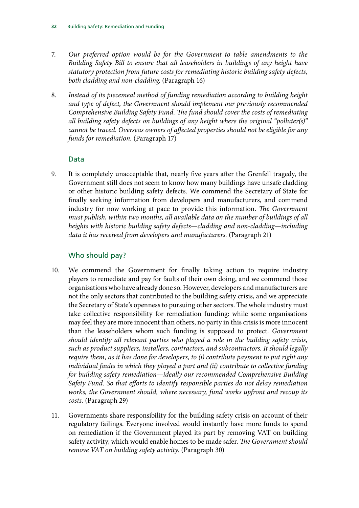- 7. *[Our preferred option would be for the Government to table amendments to the](#page-15-0) [Building Safety Bill to ensure that all leaseholders in buildings of any height have](#page-15-0) [statutory protection from future costs for remediating historic building safety defects,](#page-15-0) [both cladding and non-cladding.](#page-15-0)* (Paragraph 16)
- 8. *[Instead of its piecemeal method of funding remediation according to building height](#page-15-1) [and type of defect, the Government should implement our previously recommended](#page-15-1) [Comprehensive Building Safety Fund. The fund should cover the costs of remediating](#page-15-1) [all building safety defects on buildings of any height where the original "polluter\(s\)"](#page-15-1) [cannot be traced. Overseas owners of affected properties should not be eligible for any](#page-15-1) [funds for remediation.](#page-15-1)* (Paragraph 17)

#### Data

9. [It is completely unacceptable that, nearly five years after the Grenfell tragedy, the](#page-17-0) [Government still does not seem to know how many buildings have unsafe cladding](#page-17-0) [or other historic building safety defects. We commend the Secretary of State for](#page-17-0) [finally seeking information from developers and manufacturers, and commend](#page-17-0) [industry for now working at pace to provide this information.](#page-17-0) *The Government [must publish, within two months, all available data on the number of buildings of all](#page-17-0) [heights with historic building safety defects—cladding and non-cladding—including](#page-17-0) [data it has received from developers and manufacturers.](#page-17-0)* (Paragraph 21)

#### Who should pay?

- 10. [We commend the Government for finally taking action to require industry](#page-21-1) [players to remediate and pay for faults of their own doing, and we commend those](#page-21-1) [organisations who have already done so. However, developers and manufacturers are](#page-21-1) [not the only sectors that contributed to the building safety crisis, and we appreciate](#page-21-1) [the Secretary of State's openness to pursuing other sectors. The whole industry must](#page-21-1) [take collective responsibility for remediation funding: while some organisations](#page-21-1) [may feel they are more innocent than others, no party in this crisis is more innocent](#page-21-1) [than the leaseholders whom such funding is supposed to protect.](#page-21-1) *Government [should identify all relevant parties who played a role in the building safety crisis,](#page-21-1) [such as product suppliers, installers, contractors, and subcontractors. It should legally](#page-21-1) [require them, as it has done for developers, to \(i\) contribute payment to put right any](#page-21-1) [individual faults in which they played a part and \(ii\) contribute to collective funding](#page-21-1) [for building safety remediation—ideally our recommended Comprehensive Building](#page-21-1) [Safety Fund. So that efforts to identify responsible parties do not delay remediation](#page-21-1) [works, the Government should, where necessary, fund works upfront and recoup its](#page-21-1) [costs.](#page-21-1)* (Paragraph 29)
- 11. [Governments share responsibility for the building safety crisis on account of their](#page-21-2) [regulatory failings. Everyone involved would instantly have more funds to spend](#page-21-2) [on remediation if the Government played its part by removing VAT on building](#page-21-2) [safety activity, which would enable homes to be made safer.](#page-21-2) *The Government should [remove VAT on building safety activity.](#page-21-2)* (Paragraph 30)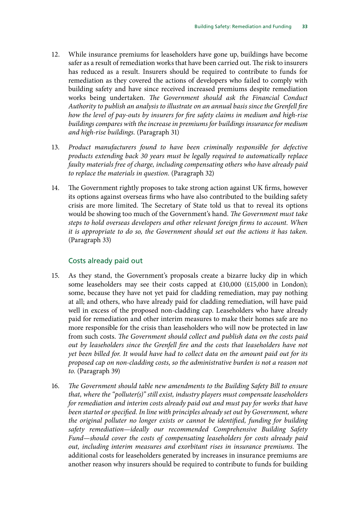- 12. [While insurance premiums for leaseholders have gone up, buildings have become](#page-22-0) [safer as a result of remediation works that have been carried out. The risk to insurers](#page-22-0) [has reduced as a result. Insurers should be required to contribute to funds for](#page-22-0) [remediation as they covered the actions of developers who failed to comply with](#page-22-0) [building safety and have since received increased premiums despite remediation](#page-22-0) works being undertaken. *[The Government should ask the Financial Conduct](#page-22-0) [Authority to publish an analysis to illustrate on an annual basis since the Grenfell fire](#page-22-0) [how the level of pay-outs by insurers for fire safety claims in medium and high-rise](#page-22-0) [buildings compares with the increase in premiums for buildings insurance for medium](#page-22-0) [and high-rise buildings.](#page-22-0)* (Paragraph 31)
- 13. *[Product manufacturers found to have been criminally responsible for defective](#page-22-1) [products extending back 30 years must be legally required to automatically replace](#page-22-1) [faulty materials free of charge, including compensating others who have already paid](#page-22-1) [to replace the materials in question.](#page-22-1)* (Paragraph 32)
- 14. [The Government rightly proposes to take strong action against UK firms, however](#page-22-2) [its options against overseas firms who have also contributed to the building safety](#page-22-2) [crisis are more limited. The Secretary of State told us that to reveal its options](#page-22-2) [would be showing too much of the Government's hand.](#page-22-2) *The Government must take [steps to hold overseas developers and other relevant foreign firms to account. When](#page-22-2) [it is appropriate to do so, the Government should set out the actions it has taken.](#page-22-2)*  (Paragraph 33)

#### Costs already paid out

- 15. [As they stand, the Government's proposals create a bizarre lucky dip in which](#page-25-0) [some leaseholders may see their costs capped at £10,000 \(£15,000 in London\);](#page-25-0) [some, because they have not yet paid for cladding remediation, may pay nothing](#page-25-0) [at all; and others, who have already paid for cladding remediation, will have paid](#page-25-0) [well in excess of the proposed non-cladding cap. Leaseholders who have already](#page-25-0) [paid for remediation and other interim measures to make their homes safe are no](#page-25-0) [more responsible for the crisis than leaseholders who will now be protected in law](#page-25-0) from such costs. *[The Government should collect and publish data on the costs paid](#page-25-0) [out by leaseholders since the Grenfell fire and the costs that leaseholders have not](#page-25-0) [yet been billed for. It would have had to collect data on the amount paid out for its](#page-25-0) [proposed cap on non-cladding costs, so the administrative burden is not a reason not](#page-25-0) [to.](#page-25-0)* (Paragraph 39)
- 16. *[The Government should table new amendments to the Building Safety Bill to ensure](#page-25-1) [that, where the "polluter\(s\)" still exist, industry players must compensate leaseholders](#page-25-1) [for remediation and interim costs already paid out and must pay for works that have](#page-25-1) [been started or specified. In line with principles already set out by Government, where](#page-25-1) [the original polluter no longer exists or cannot be identified, funding for building](#page-25-1) [safety remediation—ideally our recommended Comprehensive Building Safety](#page-25-1) [Fund—should cover the costs of compensating leaseholders for costs already paid](#page-25-1) [out, including interim measures and exorbitant rises in insurance premiums.](#page-25-1)* The [additional costs for leaseholders generated by increases in insurance premiums are](#page-25-1) [another reason why insurers should be required to contribute to funds for building](#page-25-1)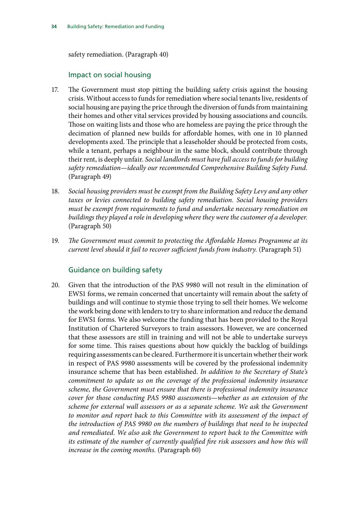[safety remediation.](#page-25-1) (Paragraph 40)

#### Impact on social housing

- 17. [The Government must stop pitting the building safety crisis against the housing](#page-29-0) [crisis. Without access to funds for remediation where social tenants live, residents of](#page-29-0) [social housing are paying the price through the diversion of funds from maintaining](#page-29-0) [their homes and other vital services provided by housing associations and councils.](#page-29-0) [Those on waiting lists and those who are homeless are paying the price through the](#page-29-0) [decimation of planned new builds for affordable homes, with one in 10 planned](#page-29-0) [developments axed. The principle that a leaseholder should be protected from costs,](#page-29-0) [while a tenant, perhaps a neighbour in the same block, should contribute through](#page-29-0) their rent, is deeply unfair. *[Social landlords must have full access to funds for building](#page-29-0) [safety remediation—ideally our recommended Comprehensive Building Safety Fund.](#page-29-0)*  (Paragraph 49)
- 18. *[Social housing providers must be exempt from the Building Safety Levy and any other](#page-29-1) [taxes or levies connected to building safety remediation. Social housing providers](#page-29-1) [must be exempt from requirements to fund and undertake necessary remediation on](#page-29-1) [buildings they played a role in developing where they were the customer of a developer.](#page-29-1)* (Paragraph 50)
- 19. *[The Government must commit to protecting the Affordable Homes Programme at its](#page-29-2) [current level should it fail to recover sufficient funds from industry.](#page-29-2)* (Paragraph 51)

#### Guidance on building safety

20. [Given that the introduction of the PAS 9980 will not result in the elimination of](#page-32-1) [EWS1 forms, we remain concerned that uncertainty will remain about the safety of](#page-32-1) [buildings and will continue to stymie those trying to sell their homes. We welcome](#page-32-1) [the work being done with lenders to try to share information and reduce the demand](#page-32-1) [for EWS1 forms. We also welcome the funding that has been provided to the Royal](#page-32-1) [Institution of Chartered Surveyors to train assessors. However, we are concerned](#page-32-1) [that these assessors are still in training and will not be able to undertake surveys](#page-32-1) [for some time. This raises questions about how quickly the backlog of buildings](#page-32-1) [requiring assessments can be cleared. Furthermore it is uncertain whether their work](#page-32-1) [in respect of PAS 9980 assessments will be covered by the professional indemnity](#page-32-1) [insurance scheme that has been established.](#page-32-1) *In addition to the Secretary of State's [commitment to update us on the coverage of the professional indemnity insurance](#page-32-1) [scheme, the Government must ensure that there is professional indemnity insurance](#page-32-1) [cover for those conducting PAS 9980 assessments—whether as an extension of the](#page-32-1) [scheme for external wall assessors or as a separate scheme. We ask the Government](#page-32-1) [to monitor and report back to this Committee with its assessment of the impact of](#page-32-1) [the introduction of PAS 9980 on the numbers of buildings that need to be inspected](#page-32-1) [and remediated. We also ask the Government to report back to the Committee with](#page-32-1) [its estimate of the number of currently qualified fire risk assessors and how this will](#page-32-1) [increase in the coming months.](#page-32-1)* (Paragraph 60)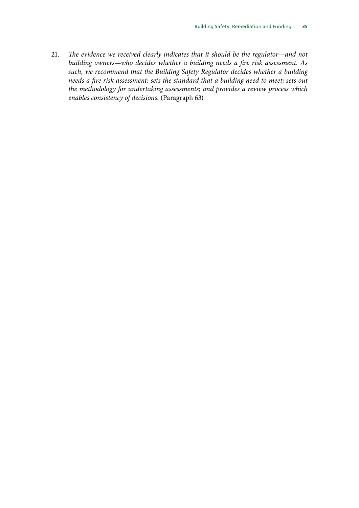21. *[The evidence we received clearly indicates that it should be the regulator—and not](#page-33-0) [building owners—who decides whether a building needs a fire risk assessment. As](#page-33-0) [such, we recommend that the Building Safety Regulator decides whether a building](#page-33-0) [needs a fire risk assessment; sets the standard that a building need to meet; sets out](#page-33-0) [the methodology for undertaking assessments; and provides a review process which](#page-33-0) [enables consistency of decisions.](#page-33-0)* (Paragraph 63)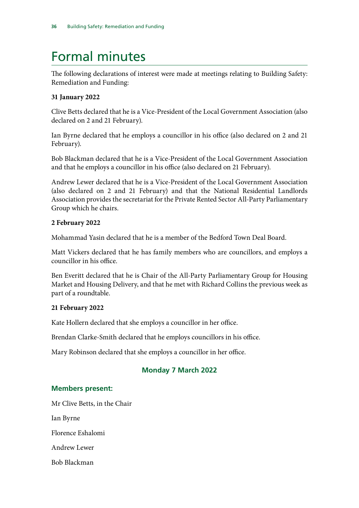### <span id="page-39-0"></span>Formal minutes

The following declarations of interest were made at meetings relating to Building Safety: Remediation and Funding:

#### **31 January 2022**

Clive Betts declared that he is a Vice-President of the Local Government Association (also declared on 2 and 21 February).

Ian Byrne declared that he employs a councillor in his office (also declared on 2 and 21 February).

Bob Blackman declared that he is a Vice-President of the Local Government Association and that he employs a councillor in his office (also declared on 21 February).

Andrew Lewer declared that he is a Vice-President of the Local Government Association (also declared on 2 and 21 February) and that the National Residential Landlords Association provides the secretariat for the Private Rented Sector All-Party Parliamentary Group which he chairs.

#### **2 February 2022**

Mohammad Yasin declared that he is a member of the Bedford Town Deal Board.

Matt Vickers declared that he has family members who are councillors, and employs a councillor in his office.

Ben Everitt declared that he is Chair of the All-Party Parliamentary Group for Housing Market and Housing Delivery, and that he met with Richard Collins the previous week as part of a roundtable.

#### **21 February 2022**

Kate Hollern declared that she employs a councillor in her office.

Brendan Clarke-Smith declared that he employs councillors in his office.

Mary Robinson declared that she employs a councillor in her office.

#### **Monday 7 March 2022**

#### **Members present:**

Mr Clive Betts, in the Chair

Ian Byrne

Florence Eshalomi

Andrew Lewer

Bob Blackman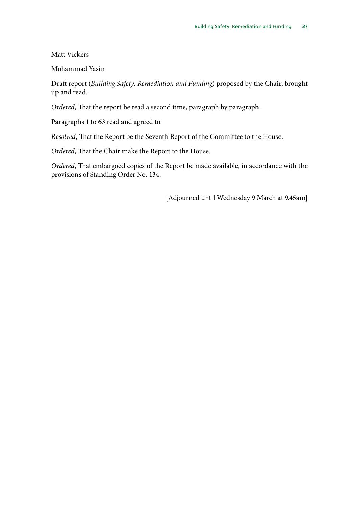Matt Vickers

Mohammad Yasin

Draft report (*Building Safety: Remediation and Funding*) proposed by the Chair, brought up and read.

*Ordered*, That the report be read a second time, paragraph by paragraph.

Paragraphs 1 to 63 read and agreed to.

*Resolved*, That the Report be the Seventh Report of the Committee to the House.

*Ordered*, That the Chair make the Report to the House.

*Ordered*, That embargoed copies of the Report be made available, in accordance with the provisions of Standing Order No. 134.

[Adjourned until Wednesday 9 March at 9.45am]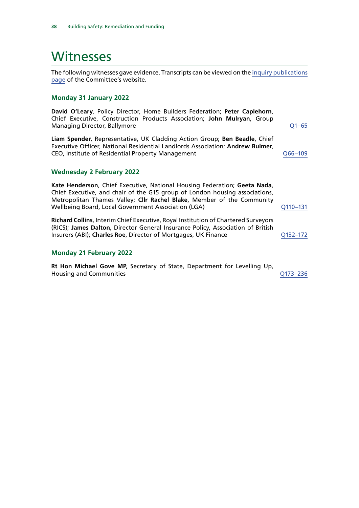### <span id="page-41-0"></span>Witnesses

The following witnesses gave evidence. Transcripts can be viewed on the [inquiry publications](https://committees.parliament.uk/work/6451/default/publications/oral-evidence/) [page](https://committees.parliament.uk/work/6451/default/publications/oral-evidence/) of the Committee's website.

#### **Monday 31 January 2022**

**David O'Leary**, Policy Director, Home Builders Federation; **Peter Caplehorn**, Chief Executive, Construction Products Association; **John Mulryan**, Group Managing Director, Ballymore **Community** COMEX 2014 12:38

**Liam Spender**, Representative, UK Cladding Action Group; **Ben Beadle**, Chief Executive Officer, National Residential Landlords Association; **Andrew Bulmer**, CEO, Institute of Residential Property Management [Q66–109](https://committees.parliament.uk/oralevidence/3354/html/)

#### **Wednesday 2 February 2022**

**Kate Henderson**, Chief Executive, National Housing Federation; **Geeta Nada**, Chief Executive, and chair of the G15 group of London housing associations, Metropolitan Thames Valley; **Cllr Rachel Blake**, Member of the Community Wellbeing Board, Local Government Association (LGA)  $Q110-131$ 

**Richard Collins**, Interim Chief Executive, Royal Institution of Chartered Surveyors (RICS); **James Dalton**, Director General Insurance Policy, Association of British Insurers (ABI); **Charles Roe**, Director of Mortgages, UK Finance Q132-172

#### **Monday 21 February 2022**

**Rt Hon Michael Gove MP**, Secretary of State, Department for Levelling Up, Housing and Communities [Q173–236](https://committees.parliament.uk/oralevidence/3448/html/)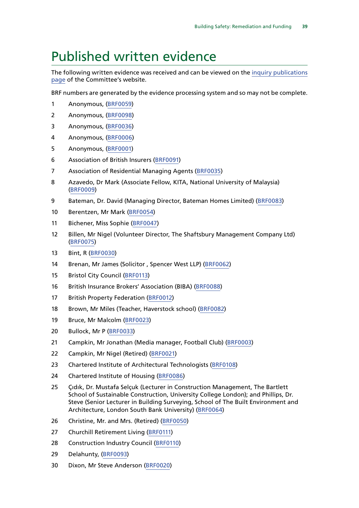### <span id="page-42-0"></span>Published written evidence

The following written evidence was received and can be viewed on the [inquiry publications](https://committees.parliament.uk/work/6451/default/publications/written-evidence/) [page](https://committees.parliament.uk/work/6451/default/publications/written-evidence/) of the Committee's website.

BRF numbers are generated by the evidence processing system and so may not be complete.

- Anonymous, [\(BRF0059](https://committees.parliament.uk/writtenevidence/98817/html/))
- Anonymous, [\(BRF0098\)](https://committees.parliament.uk/writtenevidence/106270/html/)
- Anonymous, [\(BRF0036](https://committees.parliament.uk/writtenevidence/43803/html/))
- Anonymous, [\(BRF0006](https://committees.parliament.uk/writtenevidence/43097/html/))
- Anonymous, [\(BRF0001\)](https://committees.parliament.uk/writtenevidence/42859/html/)
- Association of British Insurers [\(BRF0091\)](https://committees.parliament.uk/writtenevidence/106262/html/)
- Association of Residential Managing Agents [\(BRF0035](https://committees.parliament.uk/writtenevidence/43789/html/))
- Azavedo, Dr Mark (Associate Fellow, KITA, National University of Malaysia) ([BRF0009](https://committees.parliament.uk/writtenevidence/43186/html/))
- Bateman, Dr. David (Managing Director, Bateman Homes Limited) [\(BRF0083\)](https://committees.parliament.uk/writtenevidence/106249/html/)
- Berentzen, Mr Mark ([BRF0054](https://committees.parliament.uk/writtenevidence/86071/html/))
- Bichener, Miss Sophie [\(BRF0047](https://committees.parliament.uk/writtenevidence/64325/html/))
- Billen, Mr Nigel (Volunteer Director, The Shaftsbury Management Company Ltd) ([BRF0075](https://committees.parliament.uk/writtenevidence/106233/html/))
- Bint, R [\(BRF0030](https://committees.parliament.uk/writtenevidence/43734/html/))
- Brenan, Mr James (Solicitor , Spencer West LLP) [\(BRF0062](https://committees.parliament.uk/writtenevidence/106207/html/))
- Bristol City Council [\(BRF0113](https://committees.parliament.uk/writtenevidence/106350/html/))
- British Insurance Brokers' Association (BIBA) ([BRF0088](https://committees.parliament.uk/writtenevidence/106257/html/))
- British Property Federation [\(BRF0012](https://committees.parliament.uk/writtenevidence/43308/html/))
- Brown, Mr Miles (Teacher, Haverstock school) ([BRF0082\)](https://committees.parliament.uk/writtenevidence/106247/html/)
- Bruce, Mr Malcolm [\(BRF0023](https://committees.parliament.uk/writtenevidence/43682/html/))
- Bullock, Mr P ([BRF0033\)](https://committees.parliament.uk/writtenevidence/43770/html/)
- Campkin, Mr Jonathan (Media manager, Football Club) [\(BRF0003](https://committees.parliament.uk/writtenevidence/43034/html/))
- Campkin, Mr Nigel (Retired) ([BRF0021\)](https://committees.parliament.uk/writtenevidence/43584/html/)
- Chartered Institute of Architectural Technologists [\(BRF0108\)](https://committees.parliament.uk/writtenevidence/106281/html/)
- Chartered Institute of Housing ([BRF0086](https://committees.parliament.uk/writtenevidence/106255/html/))
- Çıdık, Dr. Mustafa Selçuk (Lecturer in Construction Management, The Bartlett School of Sustainable Construction, University College London); and Phillips, Dr. Steve (Senior Lecturer in Building Surveying, School of The Built Environment and Architecture, London South Bank University) [\(BRF0064\)](https://committees.parliament.uk/writtenevidence/106209/html/)
- Christine, Mr. and Mrs. (Retired) [\(BRF0050\)](https://committees.parliament.uk/writtenevidence/86064/html/)
- Churchill Retirement Living [\(BRF0111](https://committees.parliament.uk/writtenevidence/106348/html/))
- 28 Construction Industry Council [\(BRF0110\)](https://committees.parliament.uk/writtenevidence/106288/html/)
- Delahunty, ([BRF0093\)](https://committees.parliament.uk/writtenevidence/106265/html/)
- Dixon, Mr Steve Anderson ([BRF0020\)](https://committees.parliament.uk/writtenevidence/43560/html/)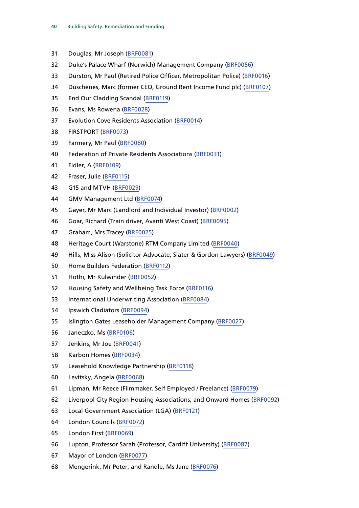- Douglas, Mr Joseph [\(BRF0081\)](https://committees.parliament.uk/writtenevidence/106245/html/)
- Duke's Palace Wharf (Norwich) Management Company ([BRF0056\)](https://committees.parliament.uk/writtenevidence/86076/html/)
- Durston, Mr Paul (Retired Police Officer, Metropolitan Police) [\(BRF0016\)](https://committees.parliament.uk/writtenevidence/43478/html/)
- Duschenes, Marc (former CEO, Ground Rent Income Fund plc) [\(BRF0107](https://committees.parliament.uk/writtenevidence/106279/html/))
- End Our Cladding Scandal [\(BRF0119](https://committees.parliament.uk/writtenevidence/106474/html/))
- Evans, Ms Rowena [\(BRF0028](https://committees.parliament.uk/writtenevidence/43728/html/))
- Evolution Cove Residents Association ([BRF0014\)](https://committees.parliament.uk/writtenevidence/43355/html/)
- FIRSTPORT ([BRF0073](https://committees.parliament.uk/writtenevidence/106230/html/))
- Farmery, Mr Paul ([BRF0080](https://committees.parliament.uk/writtenevidence/106243/html/))
- Federation of Private Residents Associations [\(BRF0031](https://committees.parliament.uk/writtenevidence/43744/html/))
- Fidler, A ([BRF0109](https://committees.parliament.uk/writtenevidence/106282/html/))
- Fraser, Julie [\(BRF0115](https://committees.parliament.uk/writtenevidence/106364/html/))
- G15 and MTVH [\(BRF0029\)](https://committees.parliament.uk/writtenevidence/43731/html/)
- GMV Management Ltd ([BRF0074\)](https://committees.parliament.uk/writtenevidence/106231/html/)
- Gayer, Mr Marc (Landlord and Individual Investor) [\(BRF0002\)](https://committees.parliament.uk/writtenevidence/42993/html/)
- Goar, Richard (Train driver, Avanti West Coast) ([BRF0095\)](https://committees.parliament.uk/writtenevidence/106267/html/)
- Graham, Mrs Tracey [\(BRF0025\)](https://committees.parliament.uk/writtenevidence/43712/html/)
- Heritage Court (Warstone) RTM Company Limited [\(BRF0040\)](https://committees.parliament.uk/writtenevidence/58209/html/)
- Hills, Miss Alison (Solicitor-Advocate, Slater & Gordon Lawyers) ([BRF0049\)](https://committees.parliament.uk/writtenevidence/81548/html/)
- Home Builders Federation [\(BRF0112](https://committees.parliament.uk/writtenevidence/106349/html/))
- Hothi, Mr Kulwinder ([BRF0052\)](https://committees.parliament.uk/writtenevidence/86069/html/)
- Housing Safety and Wellbeing Task Force [\(BRF0116](https://committees.parliament.uk/writtenevidence/106368/html/))
- International Underwriting Association [\(BRF0084\)](https://committees.parliament.uk/writtenevidence/106251/html/)
- Ipswich Cladiators [\(BRF0094](https://committees.parliament.uk/writtenevidence/106266/html/))
- Islington Gates Leaseholder Management Company ([BRF0027\)](https://committees.parliament.uk/writtenevidence/43727/html/)
- Janeczko, Ms ([BRF0106](https://committees.parliament.uk/writtenevidence/106278/html/))
- Jenkins, Mr Joe [\(BRF0041\)](https://committees.parliament.uk/writtenevidence/58211/html/)
- Karbon Homes [\(BRF0034](https://committees.parliament.uk/writtenevidence/43771/html/))
- Leasehold Knowledge Partnership [\(BRF0118](https://committees.parliament.uk/writtenevidence/106473/html/))
- Levitsky, Angela ([BRF0068](https://committees.parliament.uk/writtenevidence/106217/html/))
- Lipman, Mr Reece (Filmmaker, Self Employed / Freelance) [\(BRF0079\)](https://committees.parliament.uk/writtenevidence/106242/html/)
- Liverpool City Region Housing Associations; and Onward Homes [\(BRF0092\)](https://committees.parliament.uk/writtenevidence/106263/html/)
- Local Government Association (LGA) [\(BRF0121](https://committees.parliament.uk/writtenevidence/106486/html/))
- London Councils ([BRF0072](https://committees.parliament.uk/writtenevidence/106227/html/))
- London First ([BRF0069](https://committees.parliament.uk/writtenevidence/106218/html/))
- Lupton, Professor Sarah (Professor, Cardiff University) [\(BRF0087\)](https://committees.parliament.uk/writtenevidence/106256/html/)
- Mayor of London ([BRF0077\)](https://committees.parliament.uk/writtenevidence/106240/html/)
- Mengerink, Mr Peter; and Randle, Ms Jane [\(BRF0076\)](https://committees.parliament.uk/writtenevidence/106239/html/)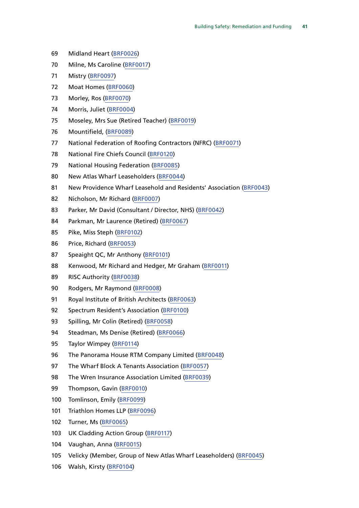- Midland Heart ([BRF0026\)](https://committees.parliament.uk/writtenevidence/43718/html/)
- Milne, Ms Caroline ([BRF0017](https://committees.parliament.uk/writtenevidence/43480/html/))
- Mistry [\(BRF0097](https://committees.parliament.uk/writtenevidence/106269/html/))
- Moat Homes [\(BRF0060\)](https://committees.parliament.uk/writtenevidence/106204/html/)
- Morley, Ros ([BRF0070](https://committees.parliament.uk/writtenevidence/106219/html/))
- Morris, Juliet [\(BRF0004\)](https://committees.parliament.uk/writtenevidence/43075/html/)
- Moseley, Mrs Sue (Retired Teacher) ([BRF0019\)](https://committees.parliament.uk/writtenevidence/43502/html/)
- Mountifield, [\(BRF0089](https://committees.parliament.uk/writtenevidence/106259/html/))
- National Federation of Roofing Contractors (NFRC) [\(BRF0071](https://committees.parliament.uk/writtenevidence/106226/html/))
- National Fire Chiefs Council [\(BRF0120\)](https://committees.parliament.uk/writtenevidence/106475/html/)
- National Housing Federation [\(BRF0085\)](https://committees.parliament.uk/writtenevidence/106253/html/)
- New Atlas Wharf Leaseholders [\(BRF0044\)](https://committees.parliament.uk/writtenevidence/58226/html/)
- New Providence Wharf Leasehold and Residents' Association [\(BRF0043](https://committees.parliament.uk/writtenevidence/58225/html/))
- Nicholson, Mr Richard [\(BRF0007](https://committees.parliament.uk/writtenevidence/43116/html/))
- 83 Parker, Mr David (Consultant / Director, NHS) [\(BRF0042](https://committees.parliament.uk/writtenevidence/58220/html/))
- 84 Parkman, Mr Laurence (Retired) ([BRF0067\)](https://committees.parliament.uk/writtenevidence/106212/html/)
- Pike, Miss Steph ([BRF0102\)](https://committees.parliament.uk/writtenevidence/106274/html/)
- Price, Richard [\(BRF0053](https://committees.parliament.uk/writtenevidence/86070/html/))
- Speaight QC, Mr Anthony [\(BRF0101\)](https://committees.parliament.uk/writtenevidence/106273/html/)
- Kenwood, Mr Richard and Hedger, Mr Graham [\(BRF0011](https://committees.parliament.uk/writtenevidence/43224/html/))
- RISC Authority ([BRF0038\)](https://committees.parliament.uk/writtenevidence/45414/html/)
- Rodgers, Mr Raymond ([BRF0008](https://committees.parliament.uk/writtenevidence/43180/html/))
- Royal Institute of British Architects ([BRF0063\)](https://committees.parliament.uk/writtenevidence/106208/html/)
- 92 Spectrum Resident's Association [\(BRF0100\)](https://committees.parliament.uk/writtenevidence/106272/html/)
- Spilling, Mr Colin (Retired) [\(BRF0058](https://committees.parliament.uk/writtenevidence/90500/html/))
- Steadman, Ms Denise (Retired) [\(BRF0066](https://committees.parliament.uk/writtenevidence/106211/html/))
- Taylor Wimpey [\(BRF0114](https://committees.parliament.uk/writtenevidence/106351/html/))
- 96 The Panorama House RTM Company Limited ([BRF0048](https://committees.parliament.uk/writtenevidence/73193/html/))
- 97 The Wharf Block A Tenants Association ([BRF0057\)](https://committees.parliament.uk/writtenevidence/86083/html/)
- 98 The Wren Insurance Association Limited ([BRF0039](https://committees.parliament.uk/writtenevidence/48117/html/))
- Thompson, Gavin [\(BRF0010\)](https://committees.parliament.uk/writtenevidence/43188/html/)
- Tomlinson, Emily ([BRF0099](https://committees.parliament.uk/writtenevidence/106271/html/))
- Triathlon Homes LLP ([BRF0096](https://committees.parliament.uk/writtenevidence/106268/html/))
- Turner, Ms ([BRF0065\)](https://committees.parliament.uk/writtenevidence/106210/html/)
- UK Cladding Action Group ([BRF0117\)](https://committees.parliament.uk/writtenevidence/106472/html/)
- Vaughan, Anna [\(BRF0015\)](https://committees.parliament.uk/writtenevidence/43476/html/)
- Velicky (Member, Group of New Atlas Wharf Leaseholders) ([BRF0045](https://committees.parliament.uk/writtenevidence/58227/html/))
- Walsh, Kirsty [\(BRF0104\)](https://committees.parliament.uk/writtenevidence/106276/html/)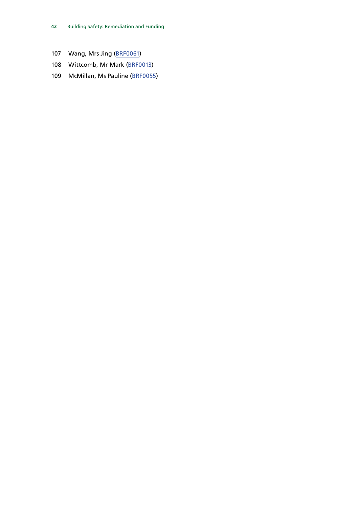- Wang, Mrs Jing ([BRF0061](https://committees.parliament.uk/writtenevidence/106206/html/))
- Wittcomb, Mr Mark [\(BRF0013](https://committees.parliament.uk/writtenevidence/43340/html/))
- McMillan, Ms Pauline ([BRF0055\)](https://committees.parliament.uk/writtenevidence/86072/html/)